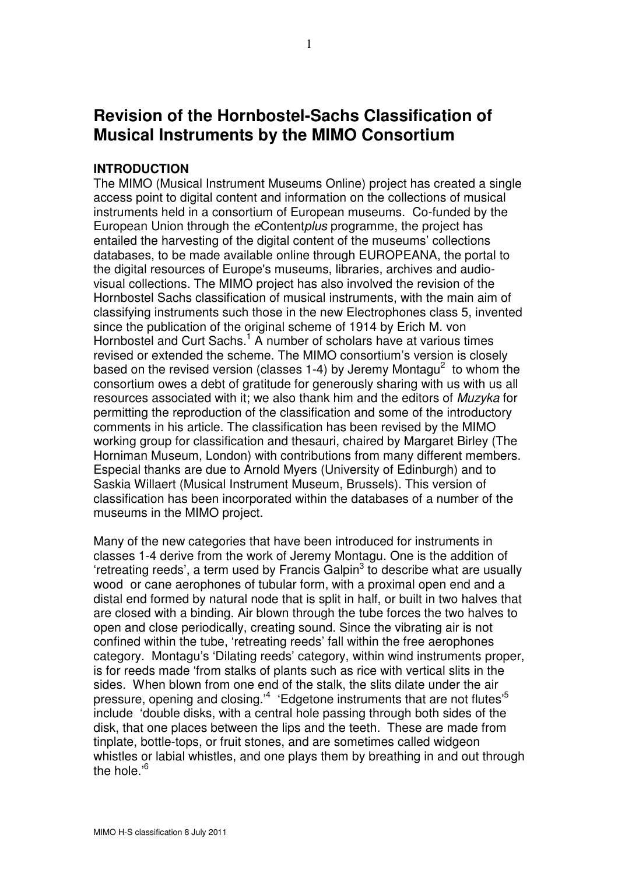# Revision of the Hornbostel-Sachs Classification of Musical Instruments by the MIMO Consortium

#### INTRODUCTION

The MIMO (Musical Instrument Museums Online) project has created a single access point to digital content and information on the collections of musical instruments held in a consortium of European museums. Co-funded by the European Union through the eContentplus programme, the project has entailed the harvesting of the digital content of the museums' collections databases, to be made available online through EUROPEANA, the portal to the digital resources of Europe's museums, libraries, archives and audiovisual collections. The MIMO project has also involved the revision of the Hornbostel Sachs classification of musical instruments, with the main aim of classifying instruments such those in the new Electrophones class 5, invented since the publication of the original scheme of 1914 by Erich M. von Hornbostel and Curt Sachs.<sup>1</sup> A number of scholars have at various times revised or extended the scheme. The MIMO consortium's version is closely based on the revised version (classes 1-4) by Jeremy Montagu<sup>2</sup> to whom the consortium owes a debt of gratitude for generously sharing with us with us all resources associated with it; we also thank him and the editors of Muzyka for permitting the reproduction of the classification and some of the introductory comments in his article. The classification has been revised by the MIMO working group for classification and thesauri, chaired by Margaret Birley (The Horniman Museum, London) with contributions from many different members. Especial thanks are due to Arnold Myers (University of Edinburgh) and to Saskia Willaert (Musical Instrument Museum, Brussels). This version of classification has been incorporated within the databases of a number of the museums in the MIMO project.

Many of the new categories that have been introduced for instruments in classes 1-4 derive from the work of Jeremy Montagu. One is the addition of 'retreating reeds', a term used by Francis Galpin<sup>3</sup> to describe what are usually wood or cane aerophones of tubular form, with a proximal open end and a distal end formed by natural node that is split in half, or built in two halves that are closed with a binding. Air blown through the tube forces the two halves to open and close periodically, creating sound. Since the vibrating air is not confined within the tube, 'retreating reeds' fall within the free aerophones category. Montagu's 'Dilating reeds' category, within wind instruments proper, is for reeds made 'from stalks of plants such as rice with vertical slits in the sides. When blown from one end of the stalk, the slits dilate under the air pressure, opening and closing.'<sup>4</sup> 'Edgetone instruments that are not flutes'<sup>5</sup> include 'double disks, with a central hole passing through both sides of the disk, that one places between the lips and the teeth. These are made from tinplate, bottle-tops, or fruit stones, and are sometimes called widgeon whistles or labial whistles, and one plays them by breathing in and out through the hole.'<sup>6</sup>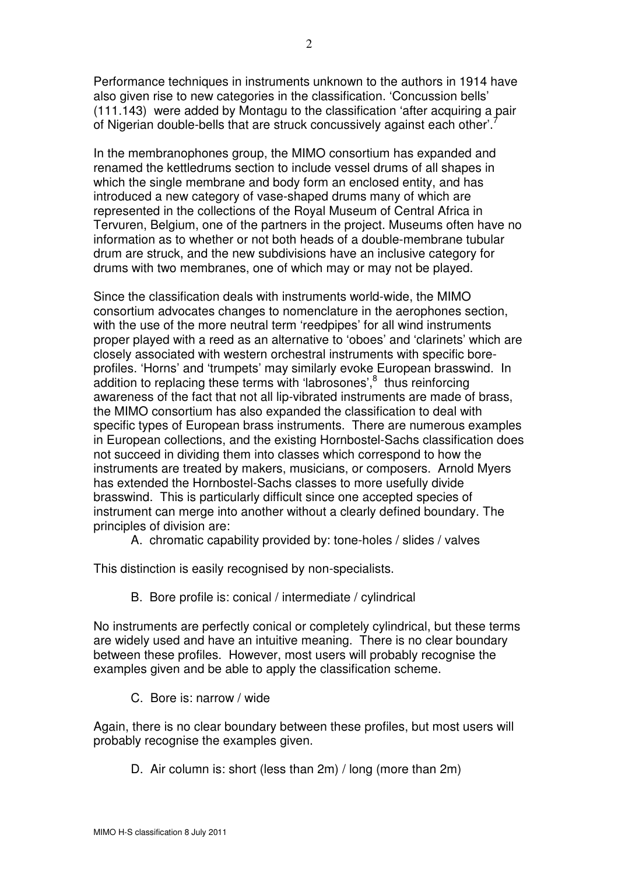Performance techniques in instruments unknown to the authors in 1914 have also given rise to new categories in the classification. 'Concussion bells' (111.143) were added by Montagu to the classification 'after acquiring a pair of Nigerian double-bells that are struck concussively against each other'.

In the membranophones group, the MIMO consortium has expanded and renamed the kettledrums section to include vessel drums of all shapes in which the single membrane and body form an enclosed entity, and has introduced a new category of vase-shaped drums many of which are represented in the collections of the Royal Museum of Central Africa in Tervuren, Belgium, one of the partners in the project. Museums often have no information as to whether or not both heads of a double-membrane tubular drum are struck, and the new subdivisions have an inclusive category for drums with two membranes, one of which may or may not be played.

Since the classification deals with instruments world-wide, the MIMO consortium advocates changes to nomenclature in the aerophones section, with the use of the more neutral term 'reedpipes' for all wind instruments proper played with a reed as an alternative to 'oboes' and 'clarinets' which are closely associated with western orchestral instruments with specific boreprofiles. 'Horns' and 'trumpets' may similarly evoke European brasswind. In addition to replacing these terms with 'labrosones', <sup>8</sup> thus reinforcing awareness of the fact that not all lip-vibrated instruments are made of brass, the MIMO consortium has also expanded the classification to deal with specific types of European brass instruments. There are numerous examples in European collections, and the existing Hornbostel-Sachs classification does not succeed in dividing them into classes which correspond to how the instruments are treated by makers, musicians, or composers. Arnold Myers has extended the Hornbostel-Sachs classes to more usefully divide brasswind. This is particularly difficult since one accepted species of instrument can merge into another without a clearly defined boundary. The principles of division are:

A. chromatic capability provided by: tone-holes / slides / valves

This distinction is easily recognised by non-specialists.

B. Bore profile is: conical / intermediate / cylindrical

No instruments are perfectly conical or completely cylindrical, but these terms are widely used and have an intuitive meaning. There is no clear boundary between these profiles. However, most users will probably recognise the examples given and be able to apply the classification scheme.

C. Bore is: narrow / wide

Again, there is no clear boundary between these profiles, but most users will probably recognise the examples given.

D. Air column is: short (less than 2m) / long (more than 2m)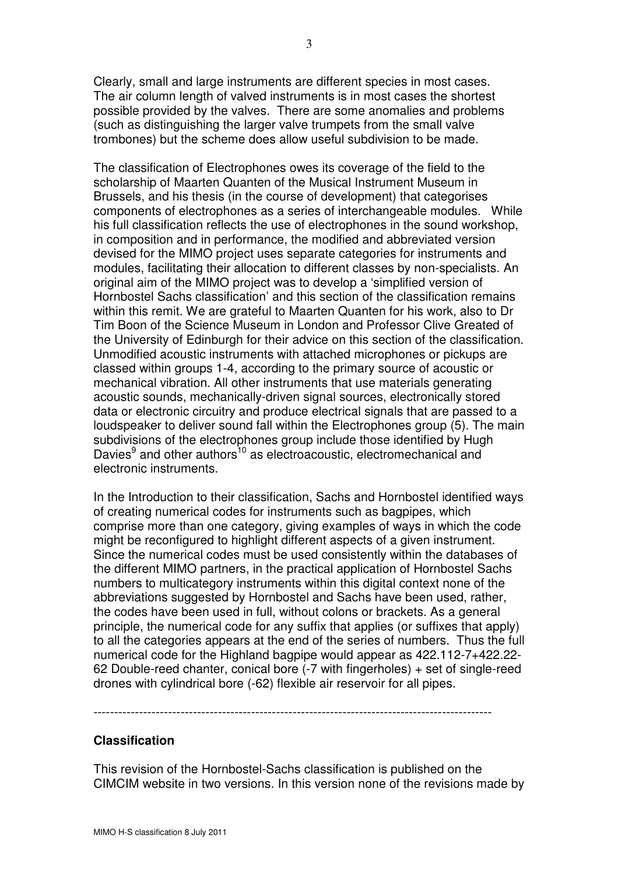Clearly, small and large instruments are different species in most cases. The air column length of valved instruments is in most cases the shortest possible provided by the valves. There are some anomalies and problems (such as distinguishing the larger valve trumpets from the small valve trombones) but the scheme does allow useful subdivision to be made.

The classification of Electrophones owes its coverage of the field to the scholarship of Maarten Quanten of the Musical Instrument Museum in Brussels, and his thesis (in the course of development) that categorises components of electrophones as a series of interchangeable modules. While his full classification reflects the use of electrophones in the sound workshop, in composition and in performance, the modified and abbreviated version devised for the MIMO project uses separate categories for instruments and modules, facilitating their allocation to different classes by non-specialists. An original aim of the MIMO project was to develop a 'simplified version of Hornbostel Sachs classification' and this section of the classification remains within this remit. We are grateful to Maarten Quanten for his work, also to Dr Tim Boon of the Science Museum in London and Professor Clive Greated of the University of Edinburgh for their advice on this section of the classification. Unmodified acoustic instruments with attached microphones or pickups are classed within groups 1-4, according to the primary source of acoustic or mechanical vibration. All other instruments that use materials generating acoustic sounds, mechanically-driven signal sources, electronically stored data or electronic circuitry and produce electrical signals that are passed to a loudspeaker to deliver sound fall within the Electrophones group (5). The main subdivisions of the electrophones group include those identified by Hugh Davies<sup>9</sup> and other authors<sup>10</sup> as electroacoustic, electromechanical and electronic instruments.

In the Introduction to their classification, Sachs and Hornbostel identified ways of creating numerical codes for instruments such as bagpipes, which comprise more than one category, giving examples of ways in which the code might be reconfigured to highlight different aspects of a given instrument. Since the numerical codes must be used consistently within the databases of the different MIMO partners, in the practical application of Hornbostel Sachs numbers to multicategory instruments within this digital context none of the abbreviations suggested by Hornbostel and Sachs have been used, rather, the codes have been used in full, without colons or brackets. As a general principle, the numerical code for any suffix that applies (or suffixes that apply) to all the categories appears at the end of the series of numbers. Thus the full numerical code for the Highland bagpipe would appear as 422.112-7+422.22- 62 Double-reed chanter, conical bore (-7 with fingerholes) + set of single-reed drones with cylindrical bore (-62) flexible air reservoir for all pipes.

------------------------------------------------------------------------------------------------

#### Classification

This revision of the Hornbostel-Sachs classification is published on the CIMCIM website in two versions. In this version none of the revisions made by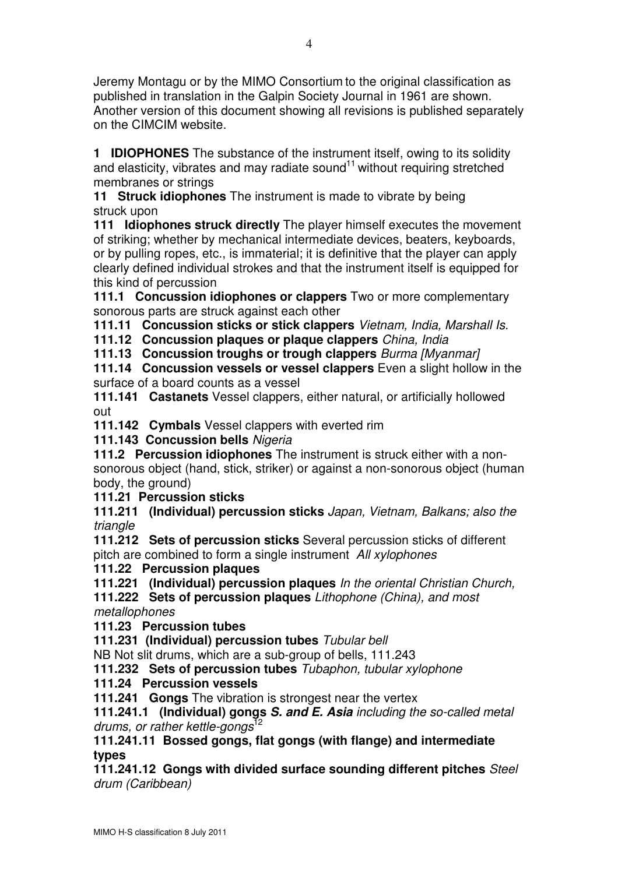Jeremy Montagu or by the MIMO Consortium to the original classification as published in translation in the Galpin Society Journal in 1961 are shown. Another version of this document showing all revisions is published separately on the CIMCIM website.

1 **IDIOPHONES** The substance of the instrument itself, owing to its solidity and elasticity, vibrates and may radiate sound<sup>11</sup> without requiring stretched membranes or strings

11 Struck idiophones The instrument is made to vibrate by being struck upon

111 Idiophones struck directly The player himself executes the movement of striking; whether by mechanical intermediate devices, beaters, keyboards, or by pulling ropes, etc., is immaterial; it is definitive that the player can apply clearly defined individual strokes and that the instrument itself is equipped for this kind of percussion

111.1 Concussion idiophones or clappers Two or more complementary sonorous parts are struck against each other

111.11 Concussion sticks or stick clappers Vietnam, India, Marshall Is.

111.12 Concussion plaques or plaque clappers China, India

111.13 Concussion troughs or trough clappers Burma [Myanmar]

111.14 Concussion vessels or vessel clappers Even a slight hollow in the surface of a board counts as a vessel

111.141 Castanets Vessel clappers, either natural, or artificially hollowed out

111.142 Cymbals Vessel clappers with everted rim

111.143 Concussion bells Nigeria

111.2 Percussion idiophones The instrument is struck either with a nonsonorous object (hand, stick, striker) or against a non-sonorous object (human body, the ground)

111.21 Percussion sticks

111.211 (Individual) percussion sticks Japan, Vietnam, Balkans; also the triangle

111.212 Sets of percussion sticks Several percussion sticks of different pitch are combined to form a single instrument All xylophones

111.22 Percussion plaques

111.221 (Individual) percussion plaques In the oriental Christian Church,

111.222 Sets of percussion plaques Lithophone (China), and most metallophones

111.23 Percussion tubes

111.231 (Individual) percussion tubes Tubular bell

NB Not slit drums, which are a sub-group of bells, 111.243

111.232 Sets of percussion tubes Tubaphon, tubular xylophone

111.24 Percussion vessels

111.241 Gongs The vibration is strongest near the vertex

111.241.1 (Individual) gongs S. and E. Asia including the so-called metal drums, or rather kettle-gongs<sup>12</sup>

111.241.11 Bossed gongs, flat gongs (with flange) and intermediate types

111.241.12 Gongs with divided surface sounding different pitches Steel drum (Caribbean)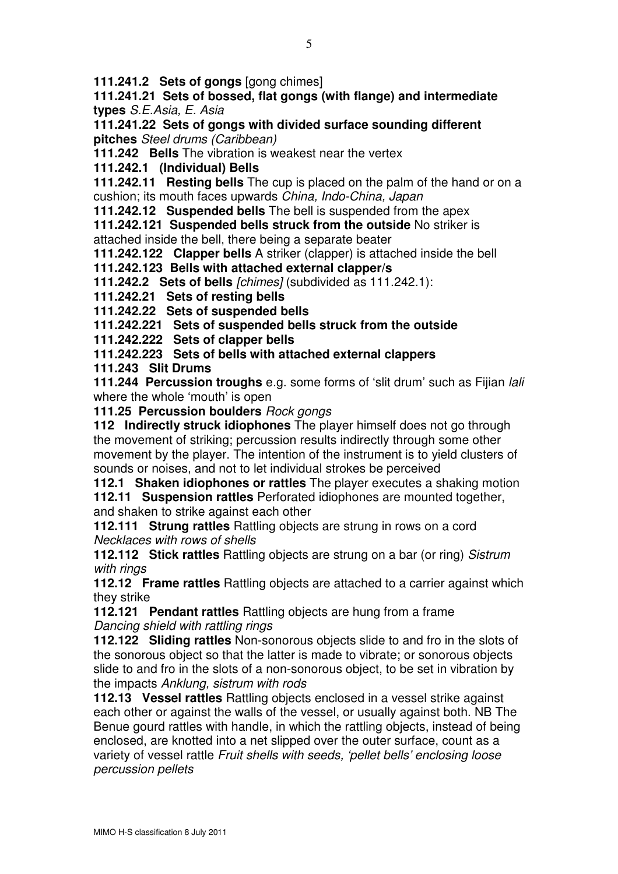111.241.2 Sets of gongs [gong chimes]

111.241.21 Sets of bossed, flat gongs (with flange) and intermediate types S.E.Asia, E. Asia

111.241.22 Sets of gongs with divided surface sounding different pitches Steel drums (Caribbean)

111.242 Bells The vibration is weakest near the vertex

111.242.1 (Individual) Bells

111.242.11 Resting bells The cup is placed on the palm of the hand or on a cushion; its mouth faces upwards China, Indo-China, Japan

111.242.12 Suspended bells The bell is suspended from the apex

111.242.121 Suspended bells struck from the outside No striker is attached inside the bell, there being a separate beater

111.242.122 Clapper bells A striker (clapper) is attached inside the bell

111.242.123 Bells with attached external clapper/s

111.242.2 Sets of bells [chimes] (subdivided as 111.242.1):

111.242.21 Sets of resting bells

111.242.22 Sets of suspended bells

111.242.221 Sets of suspended bells struck from the outside

111.242.222 Sets of clapper bells

111.242.223 Sets of bells with attached external clappers

111.243 Slit Drums

111.244 Percussion troughs e.g. some forms of 'slit drum' such as Fijian lali where the whole 'mouth' is open

111.25 Percussion boulders Rock gongs

112 Indirectly struck idiophones The player himself does not go through the movement of striking; percussion results indirectly through some other movement by the player. The intention of the instrument is to yield clusters of sounds or noises, and not to let individual strokes be perceived

112.1 Shaken idiophones or rattles The player executes a shaking motion 112.11 Suspension rattles Perforated idiophones are mounted together,

and shaken to strike against each other

112.111 Strung rattles Rattling objects are strung in rows on a cord Necklaces with rows of shells

112.112 Stick rattles Rattling objects are strung on a bar (or ring) Sistrum with rinas

112.12 Frame rattles Rattling objects are attached to a carrier against which they strike

112.121 Pendant rattles Rattling objects are hung from a frame Dancing shield with rattling rings

112.122 Sliding rattles Non-sonorous objects slide to and fro in the slots of the sonorous object so that the latter is made to vibrate; or sonorous objects slide to and fro in the slots of a non-sonorous object, to be set in vibration by the impacts Anklung, sistrum with rods

112.13 Vessel rattles Rattling objects enclosed in a vessel strike against each other or against the walls of the vessel, or usually against both. NB The Benue gourd rattles with handle, in which the rattling objects, instead of being enclosed, are knotted into a net slipped over the outer surface, count as a variety of vessel rattle Fruit shells with seeds, 'pellet bells' enclosing loose percussion pellets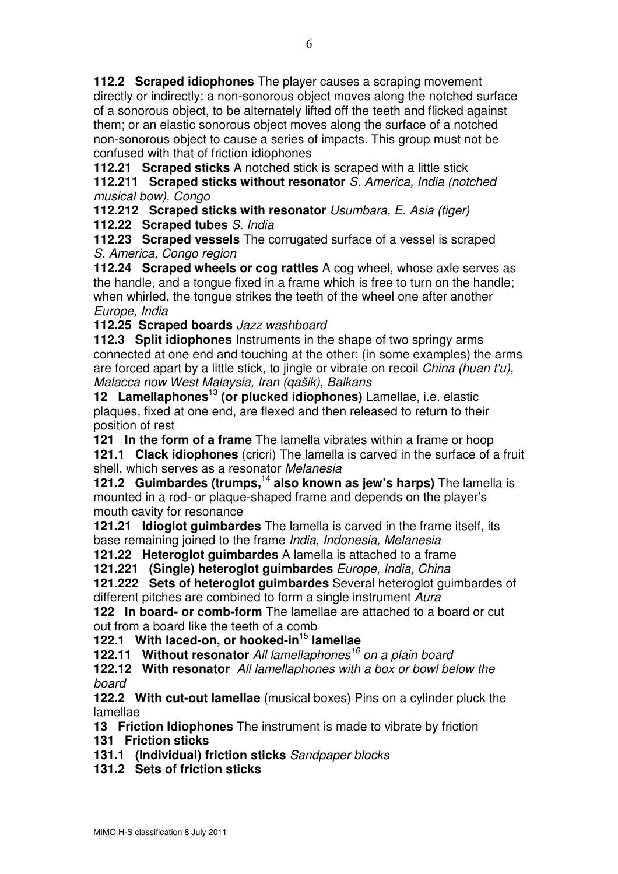112.2 Scraped idiophones The player causes a scraping movement directly or indirectly: a non-sonorous object moves along the notched surface of a sonorous object, to be alternately lifted off the teeth and flicked against them; or an elastic sonorous object moves along the surface of a notched non-sonorous object to cause a series of impacts. This group must not be confused with that of friction idiophones

112.21 Scraped sticks A notched stick is scraped with a little stick

112.211 Scraped sticks without resonator S. America, India (notched musical bow), Congo

112.212 Scraped sticks with resonator Usumbara, E. Asia (tiger)

112.22 Scraped tubes S. India

112.23 Scraped vessels The corrugated surface of a vessel is scraped S. America, Congo region

112.24 Scraped wheels or cog rattles A cog wheel, whose axle serves as the handle, and a tongue fixed in a frame which is free to turn on the handle; when whirled, the tongue strikes the teeth of the wheel one after another Europe, India

112.25 Scraped boards Jazz washboard

112.3 Split idiophones Instruments in the shape of two springy arms connected at one end and touching at the other; (in some examples) the arms are forced apart by a little stick, to jingle or vibrate on recoil China (huan t'u), Malacca now West Malaysia, Iran (qašik), Balkans

12 Lamellaphones<sup>13</sup> (or plucked idiophones) Lamellae, i.e. elastic plaques, fixed at one end, are flexed and then released to return to their position of rest

121 In the form of a frame The lamella vibrates within a frame or hoop 121.1 Clack idiophones (cricri) The lamella is carved in the surface of a fruit shell, which serves as a resonator Melanesia

121.2 Guimbardes (trumps,  $14$  also known as jew's harps) The lamella is mounted in a rod- or plaque-shaped frame and depends on the player's mouth cavity for resonance

121.21 **Idioglot guimbardes** The lamella is carved in the frame itself, its base remaining joined to the frame India, Indonesia, Melanesia

121.22 Heteroglot quimbardes A lamella is attached to a frame

121.221 (Single) heteroglot guimbardes Europe, India, China

121.222 Sets of heteroglot guimbardes Several heteroglot guimbardes of different pitches are combined to form a single instrument Aura

122 In board- or comb-form The lamellae are attached to a board or cut out from a board like the teeth of a comb

## 122.1 With laced-on, or hooked-in $15$  lamellae

122.11 Without resonator All lamellaphones<sup>16</sup> on a plain board

122.12 With resonator All lamellaphones with a box or bowl below the board

122.2 With cut-out lamellae (musical boxes) Pins on a cylinder pluck the lamellae

13 Friction Idiophones The instrument is made to vibrate by friction

131 Friction sticks

131.1 (Individual) friction sticks Sandpaper blocks

131.2 Sets of friction sticks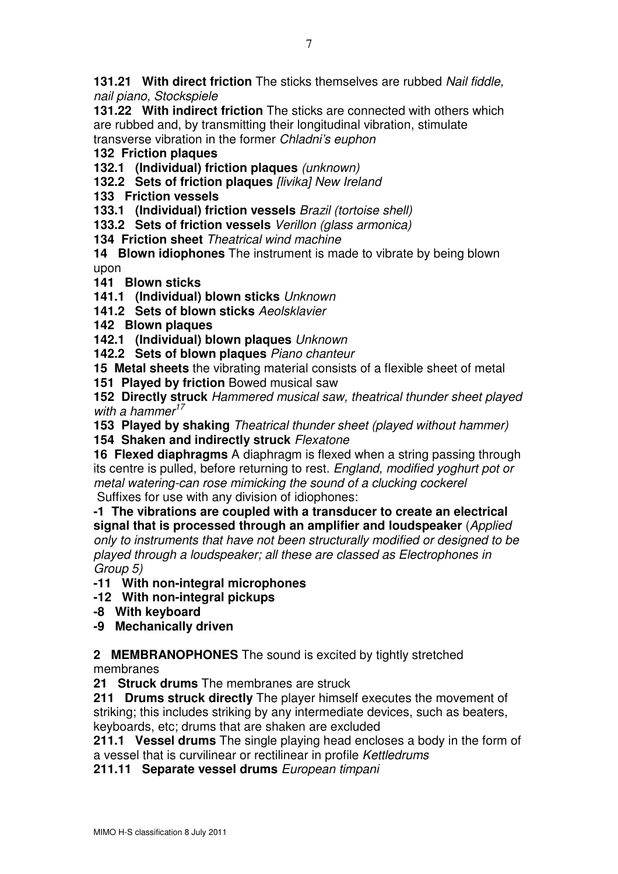**131.21 With direct friction** The sticks themselves are rubbed *Nail fiddle*, nail piano, Stockspiele

131.22 With indirect friction The sticks are connected with others which are rubbed and, by transmitting their longitudinal vibration, stimulate transverse vibration in the former Chladni's euphon

## 132 Friction plaques

132.1 (Individual) friction plaques (unknown)

132.2 Sets of friction plaques [livika] New Ireland

133 Friction vessels

133.1 (Individual) friction vessels Brazil (tortoise shell)

133.2 Sets of friction vessels Verillon (glass armonica)

134 Friction sheet Theatrical wind machine

14 Blown idiophones The instrument is made to vibrate by being blown upon

141 Blown sticks

141.1 (Individual) blown sticks Unknown

141.2 Sets of blown sticks Aeolsklavier

142 Blown plaques

142.1 (Individual) blown plaques Unknown

142.2 Sets of blown plaques Piano chanteur

15 Metal sheets the vibrating material consists of a flexible sheet of metal

151 Played by friction Bowed musical saw

152 Directly struck Hammered musical saw, theatrical thunder sheet played with a hammer $17$ 

153 Played by shaking Theatrical thunder sheet (played without hammer) 154 Shaken and indirectly struck Flexatone

16 Flexed diaphragms A diaphragm is flexed when a string passing through its centre is pulled, before returning to rest. England, modified yoghurt pot or metal watering-can rose mimicking the sound of a clucking cockerel Suffixes for use with any division of idiophones:

-1 The vibrations are coupled with a transducer to create an electrical signal that is processed through an amplifier and loudspeaker (Applied only to instruments that have not been structurally modified or designed to be played through a loudspeaker; all these are classed as Electrophones in Group 5)

-11 With non-integral microphones

-12 With non-integral pickups

-8 With keyboard

-9 Mechanically driven

2 **MEMBRANOPHONES** The sound is excited by tightly stretched membranes

21 Struck drums The membranes are struck

211 Drums struck directly The player himself executes the movement of striking; this includes striking by any intermediate devices, such as beaters, keyboards, etc; drums that are shaken are excluded

211.1 Vessel drums The single playing head encloses a body in the form of a vessel that is curvilinear or rectilinear in profile Kettledrums

211.11 Separate vessel drums European timpani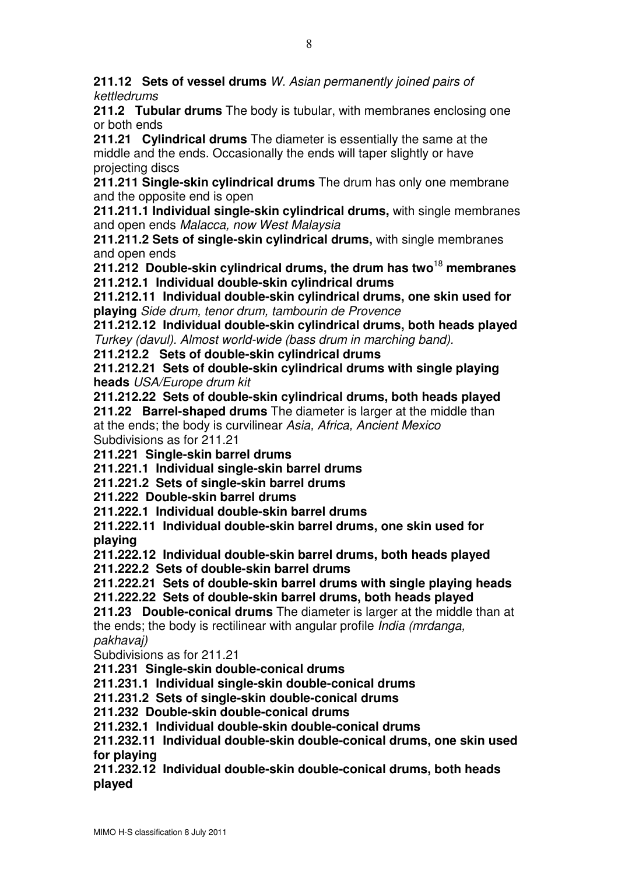211.12 Sets of vessel drums W. Asian permanently joined pairs of kettledrums

211.2 Tubular drums The body is tubular, with membranes enclosing one or both ends

211.21 Cylindrical drums The diameter is essentially the same at the middle and the ends. Occasionally the ends will taper slightly or have projecting discs

211.211 Single-skin cylindrical drums The drum has only one membrane and the opposite end is open

211.211.1 Individual single-skin cylindrical drums, with single membranes and open ends Malacca, now West Malaysia

211.211.2 Sets of single-skin cylindrical drums, with single membranes and open ends

211.212 Double-skin cylindrical drums, the drum has two<sup>18</sup> membranes 211.212.1 Individual double-skin cylindrical drums

211.212.11 Individual double-skin cylindrical drums, one skin used for playing Side drum, tenor drum, tambourin de Provence

211.212.12 Individual double-skin cylindrical drums, both heads played Turkey (davul). Almost world-wide (bass drum in marching band).

211.212.2 Sets of double-skin cylindrical drums

211.212.21 Sets of double-skin cylindrical drums with single playing heads USA/Europe drum kit

211.212.22 Sets of double-skin cylindrical drums, both heads played 211.22 Barrel-shaped drums The diameter is larger at the middle than at the ends; the body is curvilinear Asia, Africa, Ancient Mexico Subdivisions as for 211.21

211.221 Single-skin barrel drums

211.221.1 Individual single-skin barrel drums 211.221.2 Sets of single-skin barrel drums

211.222 Double-skin barrel drums

211.222.1 Individual double-skin barrel drums

211.222.11 Individual double-skin barrel drums, one skin used for playing

211.222.12 Individual double-skin barrel drums, both heads played 211.222.2 Sets of double-skin barrel drums

211.222.21 Sets of double-skin barrel drums with single playing heads 211.222.22 Sets of double-skin barrel drums, both heads played

211.23 Double-conical drums The diameter is larger at the middle than at the ends; the body is rectilinear with angular profile India (mrdanga, pakhavaj)

Subdivisions as for 211.21

211.231 Single-skin double-conical drums

211.231.1 Individual single-skin double-conical drums

211.231.2 Sets of single-skin double-conical drums

211.232 Double-skin double-conical drums

211.232.1 Individual double-skin double-conical drums

211.232.11 Individual double-skin double-conical drums, one skin used for playing

211.232.12 Individual double-skin double-conical drums, both heads played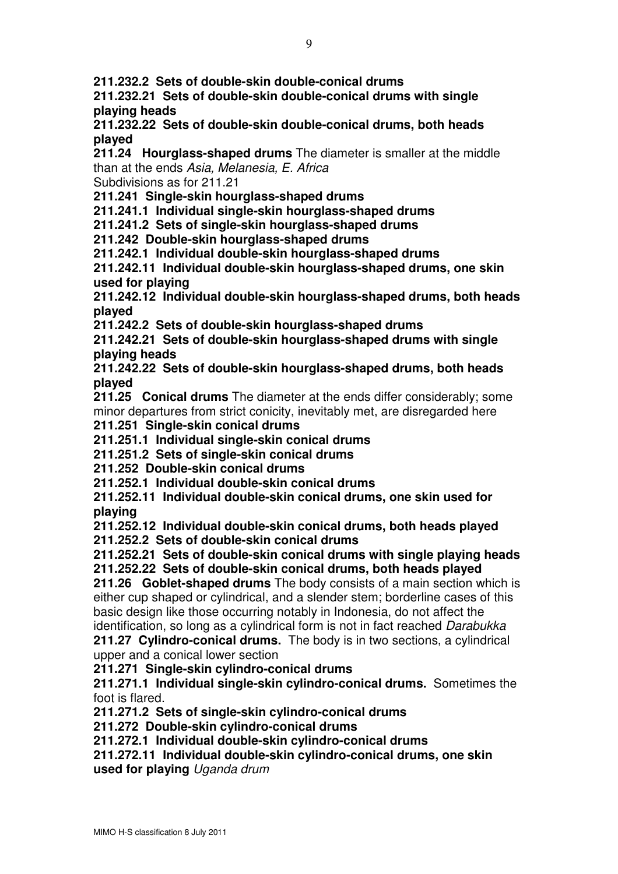211.232.2 Sets of double-skin double-conical drums

211.232.21 Sets of double-skin double-conical drums with single playing heads

211.232.22 Sets of double-skin double-conical drums, both heads played

211.24 Hourglass-shaped drums The diameter is smaller at the middle than at the ends Asia, Melanesia, E. Africa

Subdivisions as for 211.21

211.241 Single-skin hourglass-shaped drums

211.241.1 Individual single-skin hourglass-shaped drums

211.241.2 Sets of single-skin hourglass-shaped drums

211.242 Double-skin hourglass-shaped drums

211.242.1 Individual double-skin hourglass-shaped drums

211.242.11 Individual double-skin hourglass-shaped drums, one skin used for playing

211.242.12 Individual double-skin hourglass-shaped drums, both heads played

211.242.2 Sets of double-skin hourglass-shaped drums

211.242.21 Sets of double-skin hourglass-shaped drums with single playing heads

211.242.22 Sets of double-skin hourglass-shaped drums, both heads played

211.25 Conical drums The diameter at the ends differ considerably; some minor departures from strict conicity, inevitably met, are disregarded here

211.251 Single-skin conical drums

211.251.1 Individual single-skin conical drums

211.251.2 Sets of single-skin conical drums

211.252 Double-skin conical drums

211.252.1 Individual double-skin conical drums

211.252.11 Individual double-skin conical drums, one skin used for playing

211.252.12 Individual double-skin conical drums, both heads played 211.252.2 Sets of double-skin conical drums

211.252.21 Sets of double-skin conical drums with single playing heads 211.252.22 Sets of double-skin conical drums, both heads played

211.26 Goblet-shaped drums The body consists of a main section which is either cup shaped or cylindrical, and a slender stem; borderline cases of this basic design like those occurring notably in Indonesia, do not affect the identification, so long as a cylindrical form is not in fact reached Darabukka 211.27 Cylindro-conical drums. The body is in two sections, a cylindrical

upper and a conical lower section

211.271 Single-skin cylindro-conical drums

211.271.1 Individual single-skin cylindro-conical drums. Sometimes the foot is flared.

211.271.2 Sets of single-skin cylindro-conical drums

211.272 Double-skin cylindro-conical drums

211.272.1 Individual double-skin cylindro-conical drums

211.272.11 Individual double-skin cylindro-conical drums, one skin used for playing Uganda drum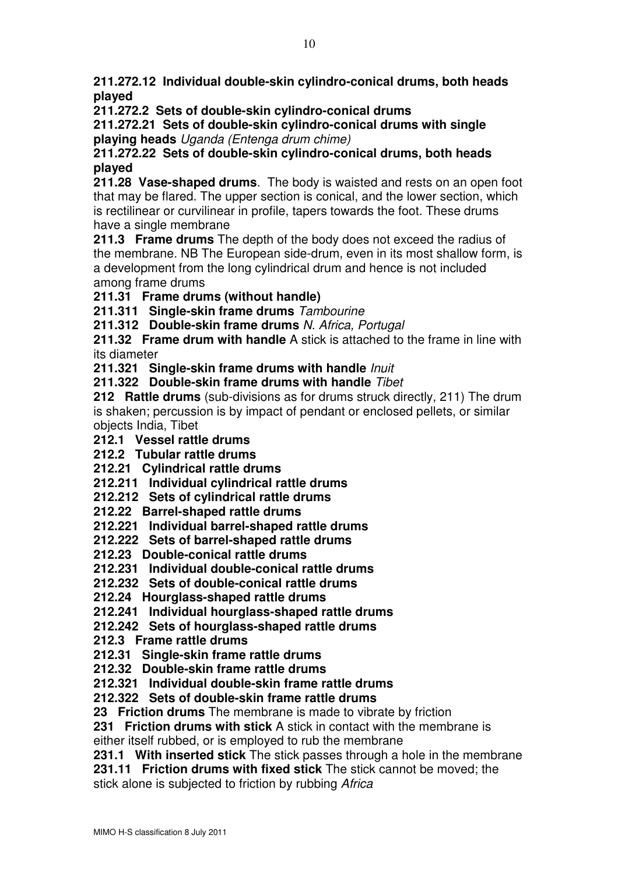211.272.12 Individual double-skin cylindro-conical drums, both heads played

211.272.2 Sets of double-skin cylindro-conical drums

211.272.21 Sets of double-skin cylindro-conical drums with single playing heads Uganda (Entenga drum chime)

211.272.22 Sets of double-skin cylindro-conical drums, both heads played

211.28 Vase-shaped drums. The body is waisted and rests on an open foot that may be flared. The upper section is conical, and the lower section, which is rectilinear or curvilinear in profile, tapers towards the foot. These drums have a single membrane

211.3 Frame drums The depth of the body does not exceed the radius of the membrane. NB The European side-drum, even in its most shallow form, is a development from the long cylindrical drum and hence is not included among frame drums

## 211.31 Frame drums (without handle)

211.311 Single-skin frame drums Tambourine

211.312 Double-skin frame drums N. Africa, Portugal

211.32 Frame drum with handle A stick is attached to the frame in line with its diameter

211.321 Single-skin frame drums with handle *lnuit* 

211.322 Double-skin frame drums with handle Tibet

212 Rattle drums (sub-divisions as for drums struck directly, 211) The drum is shaken; percussion is by impact of pendant or enclosed pellets, or similar objects India, Tibet

212.1 Vessel rattle drums

212.2 Tubular rattle drums

212.21 Cylindrical rattle drums

212.211 Individual cylindrical rattle drums

212.212 Sets of cylindrical rattle drums

212.22 Barrel-shaped rattle drums

212.221 Individual barrel-shaped rattle drums

212.222 Sets of barrel-shaped rattle drums

212.23 Double-conical rattle drums

212.231 Individual double-conical rattle drums

212.232 Sets of double-conical rattle drums

212.24 Hourglass-shaped rattle drums

212.241 Individual hourglass-shaped rattle drums

212.242 Sets of hourglass-shaped rattle drums

212.3 Frame rattle drums

212.31 Single-skin frame rattle drums

212.32 Double-skin frame rattle drums

212.321 Individual double-skin frame rattle drums

212.322 Sets of double-skin frame rattle drums

23 Friction drums The membrane is made to vibrate by friction

231 Friction drums with stick A stick in contact with the membrane is

either itself rubbed, or is employed to rub the membrane

231.1 With inserted stick The stick passes through a hole in the membrane

231.11 Friction drums with fixed stick The stick cannot be moved; the

stick alone is subjected to friction by rubbing Africa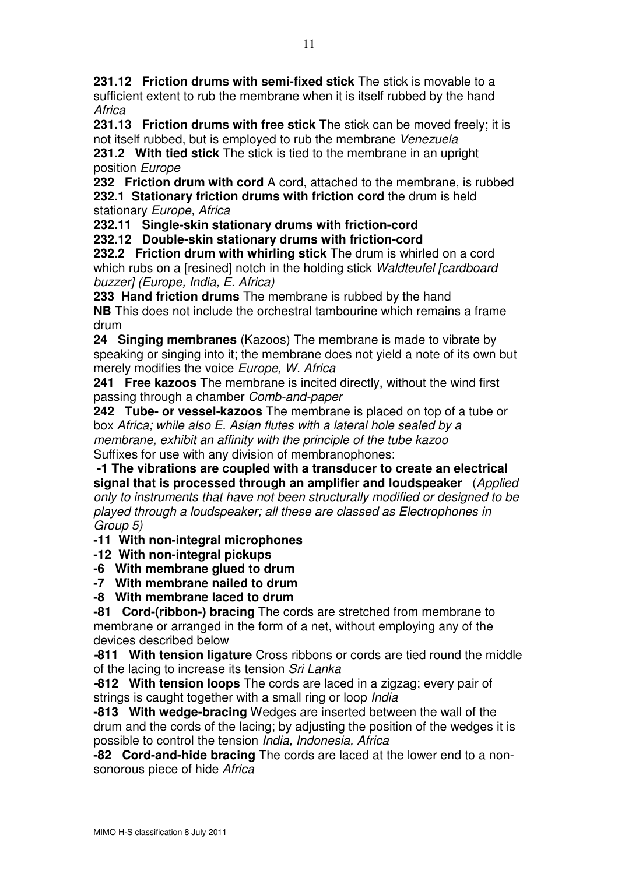231.12 Friction drums with semi-fixed stick The stick is movable to a sufficient extent to rub the membrane when it is itself rubbed by the hand **Africa** 

231.13 Friction drums with free stick The stick can be moved freely; it is not itself rubbed, but is employed to rub the membrane Venezuela

231.2 With tied stick The stick is tied to the membrane in an upright position Europe

232 Friction drum with cord A cord, attached to the membrane, is rubbed 232.1 Stationary friction drums with friction cord the drum is held stationary Europe, Africa

232.11 Single-skin stationary drums with friction-cord

232.12 Double-skin stationary drums with friction-cord

232.2 Friction drum with whirling stick The drum is whirled on a cord which rubs on a [resined] notch in the holding stick Waldteufel [cardboard] buzzer] (Europe, India, E. Africa)

233 Hand friction drums The membrane is rubbed by the hand NB This does not include the orchestral tambourine which remains a frame drum

24 Singing membranes (Kazoos) The membrane is made to vibrate by speaking or singing into it; the membrane does not yield a note of its own but merely modifies the voice Europe, W. Africa

241 Free kazoos The membrane is incited directly, without the wind first passing through a chamber Comb-and-paper

242 Tube- or vessel-kazoos The membrane is placed on top of a tube or box Africa; while also E. Asian flutes with a lateral hole sealed by a membrane, exhibit an affinity with the principle of the tube kazoo Suffixes for use with any division of membranophones:

 -1 The vibrations are coupled with a transducer to create an electrical signal that is processed through an amplifier and loudspeaker (Applied only to instruments that have not been structurally modified or designed to be played through a loudspeaker; all these are classed as Electrophones in Group 5)

-11 With non-integral microphones

-12 With non-integral pickups

-6 With membrane glued to drum

-7 With membrane nailed to drum

-8 With membrane laced to drum

-81 Cord-(ribbon-) bracing The cords are stretched from membrane to membrane or arranged in the form of a net, without employing any of the devices described below

-811 With tension ligature Cross ribbons or cords are tied round the middle of the lacing to increase its tension Sri Lanka

-812 With tension loops The cords are laced in a zigzag; every pair of strings is caught together with a small ring or loop *India* 

-813 With wedge-bracing Wedges are inserted between the wall of the drum and the cords of the lacing; by adjusting the position of the wedges it is possible to control the tension India, Indonesia, Africa

-82 Cord-and-hide bracing The cords are laced at the lower end to a nonsonorous piece of hide Africa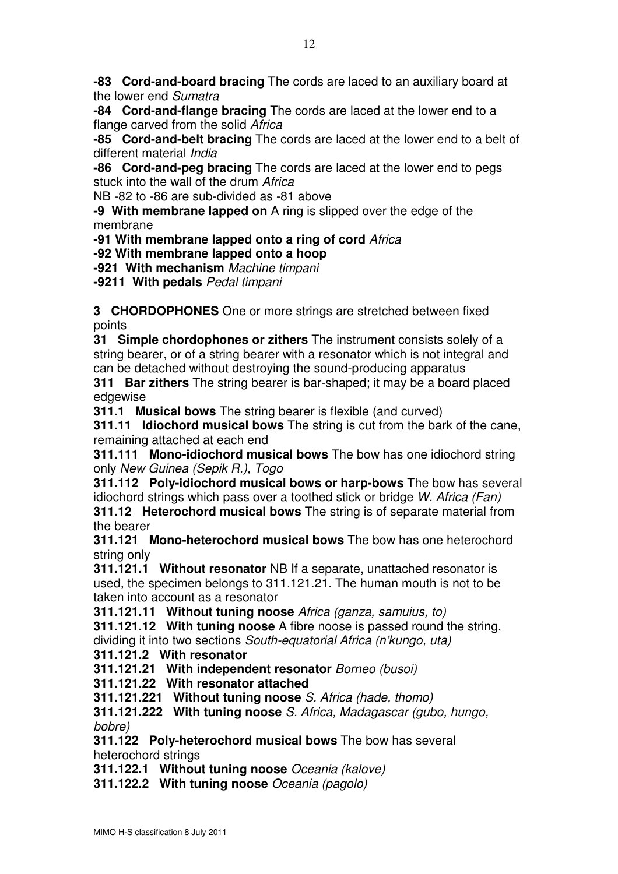-83 Cord-and-board bracing The cords are laced to an auxiliary board at the lower end Sumatra

-84 Cord-and-flange bracing The cords are laced at the lower end to a flange carved from the solid Africa

-85 Cord-and-belt bracing The cords are laced at the lower end to a belt of different material *India* 

-86 Cord-and-peg bracing The cords are laced at the lower end to pegs stuck into the wall of the drum Africa

NB -82 to -86 are sub-divided as -81 above

-9 With membrane lapped on A ring is slipped over the edge of the membrane

-91 With membrane lapped onto a ring of cord Africa

-92 With membrane lapped onto a hoop

-921 With mechanism Machine timpani

-9211 With pedals Pedal timpani

**3 CHORDOPHONES** One or more strings are stretched between fixed points

**31 Simple chordophones or zithers** The instrument consists solely of a string bearer, or of a string bearer with a resonator which is not integral and can be detached without destroying the sound-producing apparatus

311 Bar zithers The string bearer is bar-shaped; it may be a board placed edgewise

311.1 Musical bows The string bearer is flexible (and curved)

**311.11 Idiochord musical bows** The string is cut from the bark of the cane, remaining attached at each end

311.111 Mono-idiochord musical bows The bow has one idiochord string only New Guinea (Sepik R.), Togo

311.112 Poly-idiochord musical bows or harp-bows The bow has several idiochord strings which pass over a toothed stick or bridge W. Africa (Fan)

**311.12 Heterochord musical bows** The string is of separate material from the bearer

311.121 Mono-heterochord musical bows The bow has one heterochord string only

**311.121.1 Without resonator** NB If a separate, unattached resonator is used, the specimen belongs to 311.121.21. The human mouth is not to be taken into account as a resonator

311.121.11 Without tuning noose Africa (ganza, samuius, to)

**311.121.12 With tuning noose** A fibre noose is passed round the string, dividing it into two sections South-equatorial Africa (n'kungo, uta)

311.121.2 With resonator

311.121.21 With independent resonator Borneo (busoi)

311.121.22 With resonator attached

311.121.221 Without tuning noose S. Africa (hade, thomo)

311.121.222 With tuning noose S. Africa, Madagascar (gubo, hungo, bobre)

311.122 Poly-heterochord musical bows The bow has several heterochord strings

311.122.1 Without tuning noose Oceania (kalove)

311.122.2 With tuning noose Oceania (pagolo)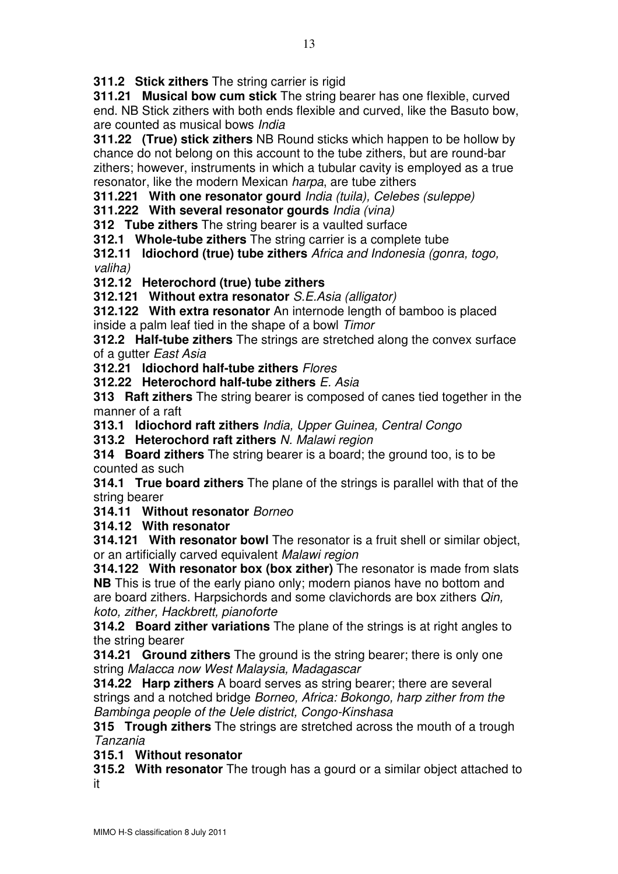**311.2 Stick zithers** The string carrier is rigid

311.21 Musical bow cum stick The string bearer has one flexible, curved end. NB Stick zithers with both ends flexible and curved, like the Basuto bow, are counted as musical bows India

311.22 (True) stick zithers NB Round sticks which happen to be hollow by chance do not belong on this account to the tube zithers, but are round-bar zithers; however, instruments in which a tubular cavity is employed as a true resonator, like the modern Mexican harpa, are tube zithers

311.221 With one resonator gourd India (tuila), Celebes (suleppe)

311.222 With several resonator gourds India (vina)

**312 Tube zithers** The string bearer is a vaulted surface

**312.1 Whole-tube zithers** The string carrier is a complete tube

312.11 ldiochord (true) tube zithers Africa and Indonesia (gonra, togo, valiha)

312.12 Heterochord (true) tube zithers

312.121 Without extra resonator S.E.Asia (alligator)

312.122 With extra resonator An internode length of bamboo is placed inside a palm leaf tied in the shape of a bowl Timor

**312.2 Half-tube zithers** The strings are stretched along the convex surface of a gutter East Asia

312.21 ldiochord half-tube zithers Flores

312.22 Heterochord half-tube zithers E. Asia

**313 Raft zithers** The string bearer is composed of canes tied together in the manner of a raft

313.1 Idiochord raft zithers India, Upper Guinea, Central Congo

313.2 Heterochord raft zithers N. Malawi region

314 Board zithers The string bearer is a board; the ground too, is to be counted as such

**314.1 True board zithers** The plane of the strings is parallel with that of the string bearer

314.11 Without resonator Borneo

314.12 With resonator

314.121 With resonator bowl The resonator is a fruit shell or similar object, or an artificially carved equivalent Malawi region

314.122 With resonator box (box zither) The resonator is made from slats **NB** This is true of the early piano only; modern pianos have no bottom and are board zithers. Harpsichords and some clavichords are box zithers Qin, koto, zither, Hackbrett, pianoforte

**314.2 Board zither variations** The plane of the strings is at right angles to the string bearer

**314.21 Ground zithers** The ground is the string bearer; there is only one string Malacca now West Malaysia, Madagascar

**314.22 Harp zithers** A board serves as string bearer; there are several strings and a notched bridge Borneo, Africa: Bokongo, harp zither from the Bambinga people of the Uele district, Congo-Kinshasa

**315 Trough zithers** The strings are stretched across the mouth of a trough Tanzania

315.1 Without resonator

315.2 With resonator The trough has a gourd or a similar object attached to it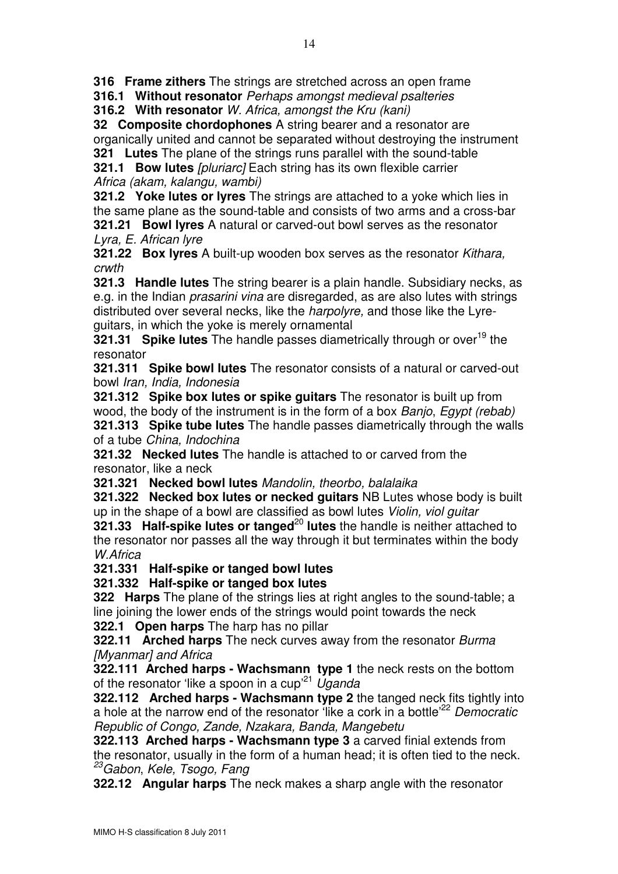316 Frame zithers The strings are stretched across an open frame

316.1 Without resonator Perhaps amongst medieval psalteries

316.2 With resonator W. Africa, amongst the Kru (kani)

32 Composite chordophones A string bearer and a resonator are organically united and cannot be separated without destroying the instrument 321 Lutes The plane of the strings runs parallel with the sound-table

321.1 Bow lutes [pluriarc] Each string has its own flexible carrier Africa (akam, kalangu, wambi)

**321.2 Yoke lutes or lyres** The strings are attached to a yoke which lies in the same plane as the sound-table and consists of two arms and a cross-bar

321.21 Bowl lyres A natural or carved-out bowl serves as the resonator Lyra, E. African lyre

**321.22 Box Ivres** A built-up wooden box serves as the resonator *Kithara*, crwth

**321.3 Handle lutes** The string bearer is a plain handle. Subsidiary necks, as e.g. in the Indian prasarini vina are disregarded, as are also lutes with strings distributed over several necks, like the harpolyre, and those like the Lyreguitars, in which the yoke is merely ornamental

321.31 Spike lutes The handle passes diametrically through or over<sup>19</sup> the resonator

321.311 Spike bowl lutes The resonator consists of a natural or carved-out bowl Iran, India, Indonesia

321.312 Spike box lutes or spike guitars The resonator is built up from wood, the body of the instrument is in the form of a box Banjo, Egypt (rebab)

321.313 Spike tube lutes The handle passes diametrically through the walls of a tube China, Indochina

321.32 Necked lutes The handle is attached to or carved from the resonator, like a neck

321.321 Necked bowl lutes Mandolin, theorbo, balalaika

321.322 Necked box lutes or necked guitars NB Lutes whose body is built up in the shape of a bowl are classified as bowl lutes Violin, viol guitar

321.33 Half-spike lutes or tanged<sup>20</sup> lutes the handle is neither attached to the resonator nor passes all the way through it but terminates within the body W.Africa

321.331 Half-spike or tanged bowl lutes

321.332 Half-spike or tanged box lutes

**322 Harps** The plane of the strings lies at right angles to the sound-table; a line joining the lower ends of the strings would point towards the neck

**322.1 Open harps** The harp has no pillar

322.11 Arched harps The neck curves away from the resonator Burma [Myanmar] and Africa

322.111 Arched harps - Wachsmann type 1 the neck rests on the bottom of the resonator 'like a spoon in a cup<sup>'21</sup> Uganda

322.112 Arched harps - Wachsmann type 2 the tanged neck fits tightly into a hole at the narrow end of the resonator like a cork in a bottle<sup>'22</sup> Democratic Republic of Congo, Zande, Nzakara, Banda, Mangebetu

322.113 Arched harps - Wachsmann type 3 a carved finial extends from the resonator, usually in the form of a human head; it is often tied to the neck. <sup>23</sup>Gabon, Kele, Tsogo, Fang

**322.12 Angular harps** The neck makes a sharp angle with the resonator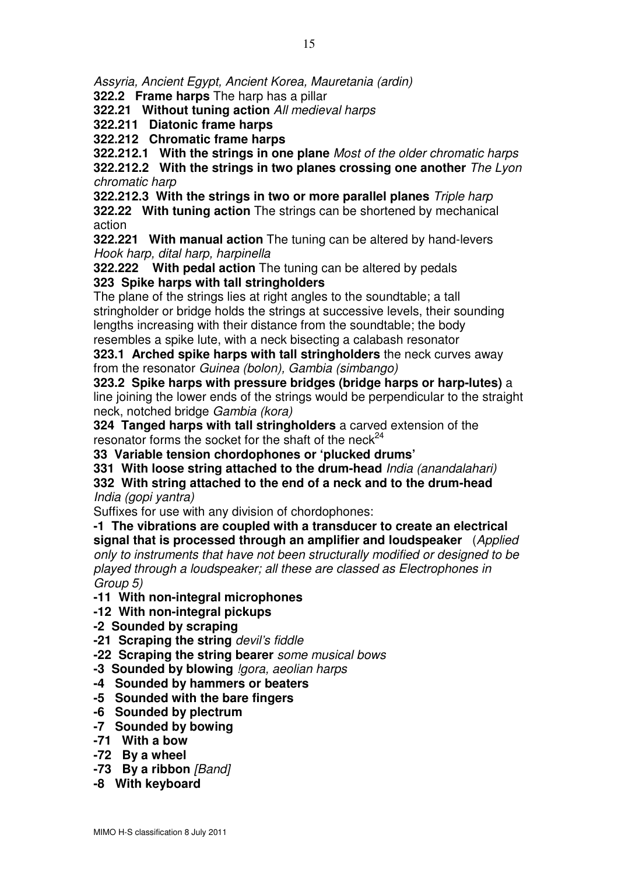Assyria, Ancient Egypt, Ancient Korea, Mauretania (ardin)

322.2 Frame harps The harp has a pillar

322.21 Without tuning action All medieval harps

322.211 Diatonic frame harps

322.212 Chromatic frame harps

322.212.1 With the strings in one plane Most of the older chromatic harps 322.212.2 With the strings in two planes crossing one another The Lyon chromatic harp

322.212.3 With the strings in two or more parallel planes Triple harp

322.22 With tuning action The strings can be shortened by mechanical action

322.221 With manual action The tuning can be altered by hand-levers Hook harp, dital harp, harpinella

**322.222** With pedal action The tuning can be altered by pedals 323 Spike harps with tall stringholders

The plane of the strings lies at right angles to the soundtable; a tall stringholder or bridge holds the strings at successive levels, their sounding lengths increasing with their distance from the soundtable; the body resembles a spike lute, with a neck bisecting a calabash resonator

323.1 Arched spike harps with tall stringholders the neck curves away from the resonator Guinea (bolon), Gambia (simbango)

323.2 Spike harps with pressure bridges (bridge harps or harp-lutes) a line joining the lower ends of the strings would be perpendicular to the straight neck, notched bridge Gambia (kora)

324 Tanged harps with tall stringholders a carved extension of the resonator forms the socket for the shaft of the neck $24$ 

33 Variable tension chordophones or 'plucked drums'

331 With loose string attached to the drum-head *India (anandalahari)* 

332 With string attached to the end of a neck and to the drum-head India (gopi yantra)

Suffixes for use with any division of chordophones:

-1 The vibrations are coupled with a transducer to create an electrical signal that is processed through an amplifier and loudspeaker (Applied only to instruments that have not been structurally modified or designed to be played through a loudspeaker; all these are classed as Electrophones in Group 5)

-11 With non-integral microphones

-12 With non-integral pickups

-2 Sounded by scraping

-21 Scraping the string devil's fiddle

-22 Scraping the string bearer some musical bows

-3 Sounded by blowing *lgora*, aeolian harps

-4 Sounded by hammers or beaters

-5 Sounded with the bare fingers

- -6 Sounded by plectrum
- -7 Sounded by bowing
- -71 With a bow
- -72 By a wheel
- -73 By a ribbon [Band]
- -8 With keyboard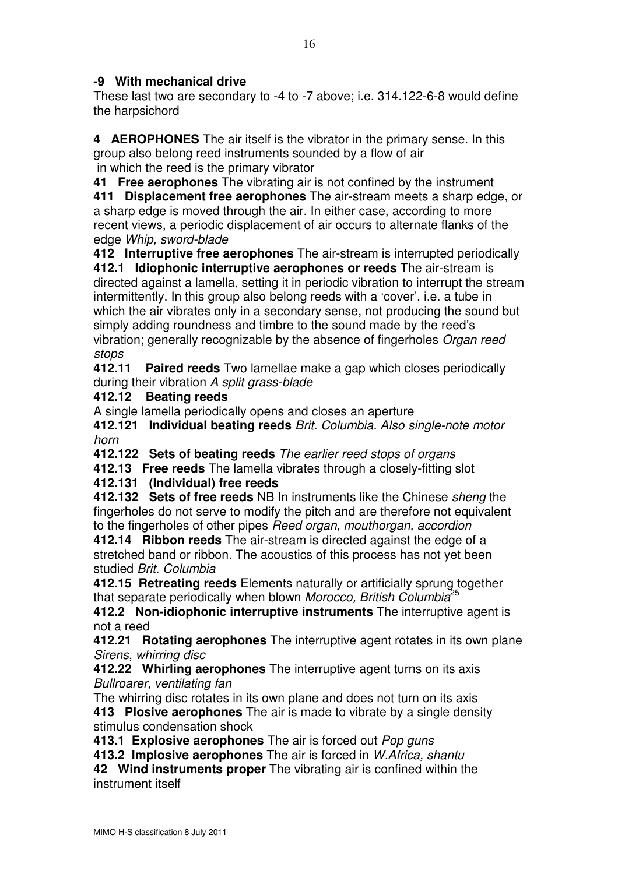## -9 With mechanical drive

These last two are secondary to -4 to -7 above; i.e. 314.122-6-8 would define the harpsichord

4 AEROPHONES The air itself is the vibrator in the primary sense. In this group also belong reed instruments sounded by a flow of air in which the reed is the primary vibrator

41 Free aerophones The vibrating air is not confined by the instrument 411 Displacement free aerophones The air-stream meets a sharp edge, or a sharp edge is moved through the air. In either case, according to more recent views, a periodic displacement of air occurs to alternate flanks of the edge Whip, sword-blade

412 Interruptive free aerophones The air-stream is interrupted periodically 412.1 Idiophonic interruptive aerophones or reeds The air-stream is directed against a lamella, setting it in periodic vibration to interrupt the stream intermittently. In this group also belong reeds with a 'cover', i.e. a tube in which the air vibrates only in a secondary sense, not producing the sound but simply adding roundness and timbre to the sound made by the reed's vibration; generally recognizable by the absence of fingerholes Organ reed stops

412.11 Paired reeds Two lamellae make a gap which closes periodically during their vibration A split grass-blade

#### 412.12 Beating reeds

A single lamella periodically opens and closes an aperture

412.121 Individual beating reeds Brit. Columbia. Also single-note motor horn

412.122 Sets of beating reeds The earlier reed stops of organs

412.13 Free reeds The lamella vibrates through a closely-fitting slot

412.131 (Individual) free reeds

412.132 Sets of free reeds NB In instruments like the Chinese sheng the fingerholes do not serve to modify the pitch and are therefore not equivalent to the fingerholes of other pipes Reed organ, mouthorgan, accordion

412.14 Ribbon reeds The air-stream is directed against the edge of a stretched band or ribbon. The acoustics of this process has not yet been studied Brit. Columbia

412.15 Retreating reeds Elements naturally or artificially sprung together that separate periodically when blown Morocco, British Columbia<sup>25</sup>

412.2 Non-idiophonic interruptive instruments The interruptive agent is not a reed

412.21 Rotating aerophones The interruptive agent rotates in its own plane Sirens, whirring disc

412.22 Whirling aerophones The interruptive agent turns on its axis Bullroarer, ventilating fan

The whirring disc rotates in its own plane and does not turn on its axis 413 Plosive aerophones The air is made to vibrate by a single density stimulus condensation shock

413.1 Explosive aerophones The air is forced out Pop guns

413.2 Implosive aerophones The air is forced in W. Africa, shantu

42 Wind instruments proper The vibrating air is confined within the instrument itself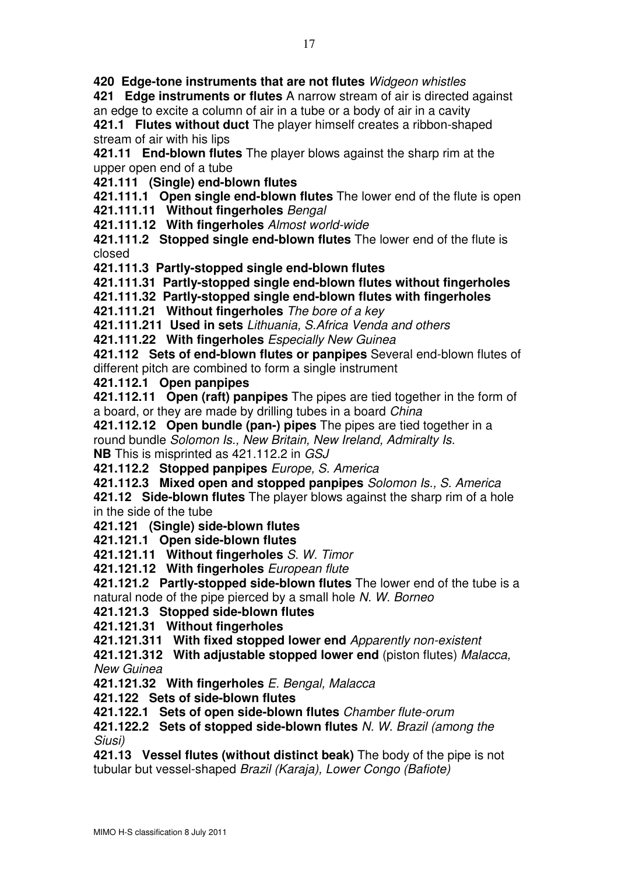420 Edge-tone instruments that are not flutes Widgeon whistles

421 Edge instruments or flutes A narrow stream of air is directed against an edge to excite a column of air in a tube or a body of air in a cavity 421.1 Flutes without duct The player himself creates a ribbon-shaped stream of air with his lips

421.11 End-blown flutes The player blows against the sharp rim at the upper open end of a tube

421.111 (Single) end-blown flutes

421.111.1 Open single end-blown flutes The lower end of the flute is open 421.111.11 Without fingerholes Bengal

421.111.12 With fingerholes Almost world-wide

421.111.2 Stopped single end-blown flutes The lower end of the flute is closed

421.111.3 Partly-stopped single end-blown flutes

421.111.31 Partly-stopped single end-blown flutes without fingerholes

421.111.32 Partly-stopped single end-blown flutes with fingerholes

421.111.21 Without fingerholes The bore of a key

421.111.211 Used in sets Lithuania, S.Africa Venda and others

421.111.22 With fingerholes Especially New Guinea

421.112 Sets of end-blown flutes or panpipes Several end-blown flutes of different pitch are combined to form a single instrument

421.112.1 Open panpipes

421.112.11 Open (raft) panpipes The pipes are tied together in the form of a board, or they are made by drilling tubes in a board China

421.112.12 Open bundle (pan-) pipes The pipes are tied together in a round bundle Solomon Is., New Britain, New Ireland, Admiralty Is. NB This is misprinted as 421.112.2 in GSJ

421.112.2 Stopped panpipes Europe, S. America

421.112.3 Mixed open and stopped panpipes Solomon Is., S. America

421.12 Side-blown flutes The player blows against the sharp rim of a hole in the side of the tube

421.121 (Single) side-blown flutes

421.121.1 Open side-blown flutes

421.121.11 Without fingerholes S. W. Timor

421.121.12 With fingerholes European flute

421.121.2 Partly-stopped side-blown flutes The lower end of the tube is a natural node of the pipe pierced by a small hole N. W. Borneo

## 421.121.3 Stopped side-blown flutes

421.121.31 Without fingerholes

421.121.311 With fixed stopped lower end Apparently non-existent

421.121.312 With adjustable stopped lower end (piston flutes) Malacca, New Guinea

421.121.32 With fingerholes E. Bengal, Malacca

421.122 Sets of side-blown flutes

421.122.1 Sets of open side-blown flutes Chamber flute-orum

421.122.2 Sets of stopped side-blown flutes N. W. Brazil (among the Siusi)

421.13 Vessel flutes (without distinct beak) The body of the pipe is not tubular but vessel-shaped Brazil (Karaja), Lower Congo (Bafiote)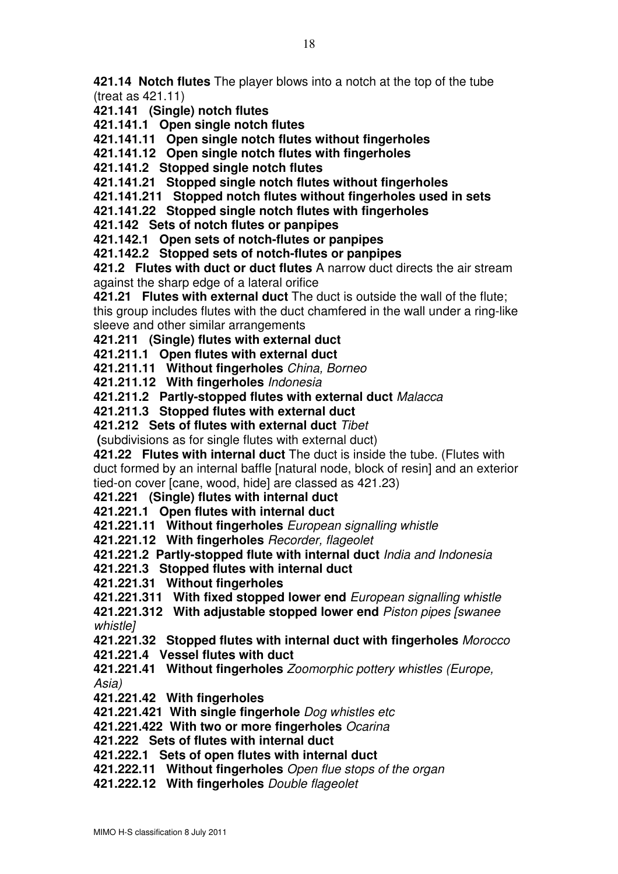421.14 Notch flutes The player blows into a notch at the top of the tube (treat as 421.11)

- 421.141 (Single) notch flutes
- 421.141.1 Open single notch flutes

421.141.11 Open single notch flutes without fingerholes

421.141.12 Open single notch flutes with fingerholes

421.141.2 Stopped single notch flutes

421.141.21 Stopped single notch flutes without fingerholes

421.141.211 Stopped notch flutes without fingerholes used in sets

421.141.22 Stopped single notch flutes with fingerholes

421.142 Sets of notch flutes or panpipes

421.142.1 Open sets of notch-flutes or panpipes

421.142.2 Stopped sets of notch-flutes or panpipes

421.2 Flutes with duct or duct flutes A narrow duct directs the air stream against the sharp edge of a lateral orifice

421.21 Flutes with external duct The duct is outside the wall of the flute; this group includes flutes with the duct chamfered in the wall under a ring-like sleeve and other similar arrangements

421.211 (Single) flutes with external duct

421.211.1 Open flutes with external duct

421.211.11 Without fingerholes China, Borneo

421.211.12 With fingerholes Indonesia

421.211.2 Partly-stopped flutes with external duct Malacca

421.211.3 Stopped flutes with external duct

421.212 Sets of flutes with external duct Tibet

(subdivisions as for single flutes with external duct)

421.22 Flutes with internal duct The duct is inside the tube. (Flutes with duct formed by an internal baffle [natural node, block of resin] and an exterior tied-on cover [cane, wood, hide] are classed as 421.23)

421.221 (Single) flutes with internal duct

421.221.1 Open flutes with internal duct

421.221.11 Without fingerholes European signalling whistle

421.221.12 With fingerholes Recorder, flageolet

421.221.2 Partly-stopped flute with internal duct India and Indonesia

421.221.3 Stopped flutes with internal duct

421.221.31 Without fingerholes

421.221.311 With fixed stopped lower end European signalling whistle

421.221.312 With adjustable stopped lower end Piston pipes [swanee whistle]

421.221.32 Stopped flutes with internal duct with fingerholes Morocco 421.221.4 Vessel flutes with duct

421.221.41 Without fingerholes Zoomorphic pottery whistles (Europe, Asia)

421.221.42 With fingerholes

421.221.421 With single fingerhole Dog whistles etc

421.221.422 With two or more fingerholes Ocarina

421.222 Sets of flutes with internal duct

421.222.1 Sets of open flutes with internal duct

421.222.11 Without fingerholes Open flue stops of the organ

421.222.12 With fingerholes Double flageolet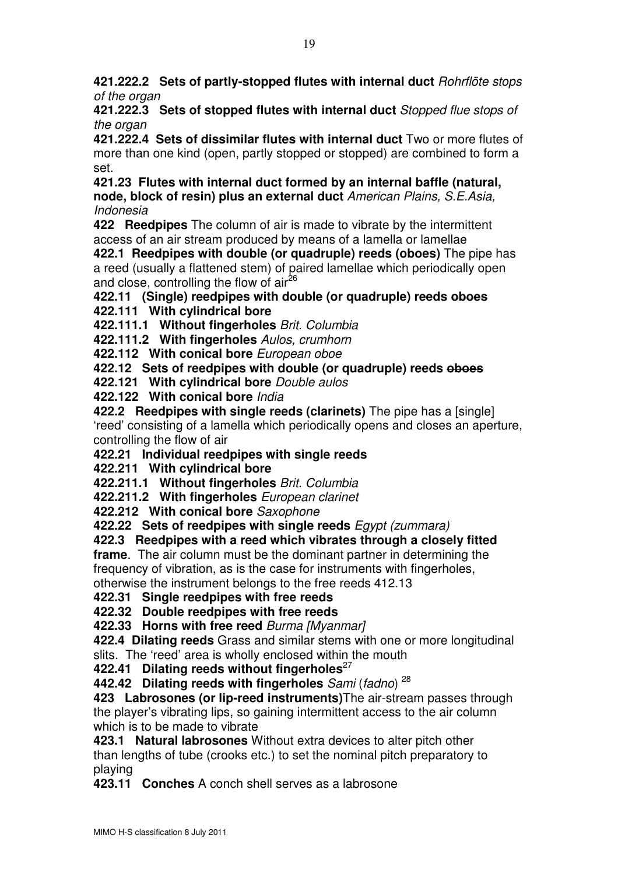421.222.2 Sets of partly-stopped flutes with internal duct Rohrflöte stops of the organ

421.222.3 Sets of stopped flutes with internal duct Stopped flue stops of the organ

421.222.4 Sets of dissimilar flutes with internal duct Two or more flutes of more than one kind (open, partly stopped or stopped) are combined to form a set.

421.23 Flutes with internal duct formed by an internal baffle (natural, node, block of resin) plus an external duct American Plains, S.E.Asia, Indonesia

422 Reedpipes The column of air is made to vibrate by the intermittent access of an air stream produced by means of a lamella or lamellae

422.1 Reedpipes with double (or quadruple) reeds (oboes) The pipe has a reed (usually a flattened stem) of paired lamellae which periodically open and close, controlling the flow of  $air^{26}$ 

422.11 (Single) reedpipes with double (or quadruple) reeds oboes

422.111 With cylindrical bore

422.111.1 Without fingerholes Brit. Columbia

422.111.2 With fingerholes Aulos, crumhorn

422.112 With conical bore European oboe

422.12 Sets of reedpipes with double (or quadruple) reeds oboes

422.121 With cylindrical bore Double aulos

422.122 With conical bore *India* 

422.2 Reedpipes with single reeds (clarinets) The pipe has a [single] 'reed' consisting of a lamella which periodically opens and closes an aperture, controlling the flow of air

422.21 Individual reedpipes with single reeds

422.211 With cylindrical bore

422.211.1 Without fingerholes Brit. Columbia

422.211.2 With fingerholes European clarinet

422.212 With conical bore Saxophone

422.22 Sets of reedpipes with single reeds Egypt (zummara)

# 422.3 Reedpipes with a reed which vibrates through a closely fitted

**frame.** The air column must be the dominant partner in determining the frequency of vibration, as is the case for instruments with fingerholes, otherwise the instrument belongs to the free reeds 412.13

422.31 Single reedpipes with free reeds

422.32 Double reedpipes with free reeds

422.33 Horns with free reed Burma [Myanmar]

422.4 Dilating reeds Grass and similar stems with one or more longitudinal slits. The 'reed' area is wholly enclosed within the mouth

422.41 Dilating reeds without fingerholes<sup>27</sup>

442.42 Dilating reeds with fingerholes  $Sami (fadno)$ <sup>28</sup>

423 Labrosones (or lip-reed instruments) The air-stream passes through the player's vibrating lips, so gaining intermittent access to the air column which is to be made to vibrate

423.1 Natural labrosones Without extra devices to alter pitch other than lengths of tube (crooks etc.) to set the nominal pitch preparatory to playing

423.11 Conches A conch shell serves as a labrosone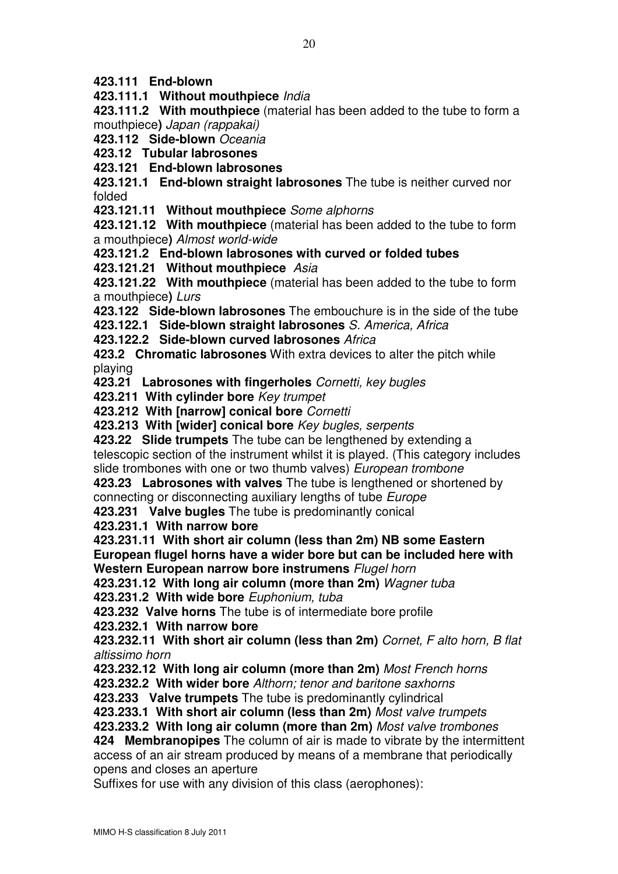423.111 End-blown

423.111.1 Without mouthpiece India

423.111.2 With mouthpiece (material has been added to the tube to form a mouthpiece) Japan (rappakai)

423.112 Side-blown Oceania

423.12 Tubular labrosones

423.121 End-blown labrosones

423.121.1 End-blown straight labrosones The tube is neither curved nor folded

423.121.11 Without mouthpiece Some alphorns

423.121.12 With mouthpiece (material has been added to the tube to form a mouthpiece) Almost world-wide

423.121.2 End-blown labrosones with curved or folded tubes

423.121.21 Without mouthpiece Asia

423.121.22 With mouthpiece (material has been added to the tube to form a mouthpiece) Lurs

423.122 Side-blown labrosones The embouchure is in the side of the tube

423.122.1 Side-blown straight labrosones S. America, Africa

423.122.2 Side-blown curved labrosones Africa

423.2 Chromatic labrosones With extra devices to alter the pitch while playing

423.21 Labrosones with fingerholes Cornetti, key bugles

423.211 With cylinder bore Key trumpet

423.212 With [narrow] conical bore Cornetti

423.213 With [wider] conical bore Key bugles, serpents

423.22 Slide trumpets The tube can be lengthened by extending a telescopic section of the instrument whilst it is played. (This category includes slide trombones with one or two thumb valves) European trombone

423.23 Labrosones with valves The tube is lengthened or shortened by connecting or disconnecting auxiliary lengths of tube Europe

423.231 Valve bugles The tube is predominantly conical

423.231.1 With narrow bore

423.231.11 With short air column (less than 2m) NB some Eastern European flugel horns have a wider bore but can be included here with Western European narrow bore instrumens Flugel horn

423.231.12 With long air column (more than 2m) Wagner tuba

423.231.2 With wide bore Euphonium, tuba

423.232 Valve horns The tube is of intermediate bore profile

423.232.1 With narrow bore

423.232.11 With short air column (less than 2m) Cornet, F alto horn, B flat altissimo horn

423.232.12 With long air column (more than 2m) Most French horns

423.232.2 With wider bore Althorn; tenor and baritone saxhorns

423.233 Valve trumpets The tube is predominantly cylindrical

423.233.1 With short air column (less than 2m) Most valve trumpets

423.233.2 With long air column (more than 2m) Most valve trombones

424 Membranopipes The column of air is made to vibrate by the intermittent access of an air stream produced by means of a membrane that periodically opens and closes an aperture

Suffixes for use with any division of this class (aerophones):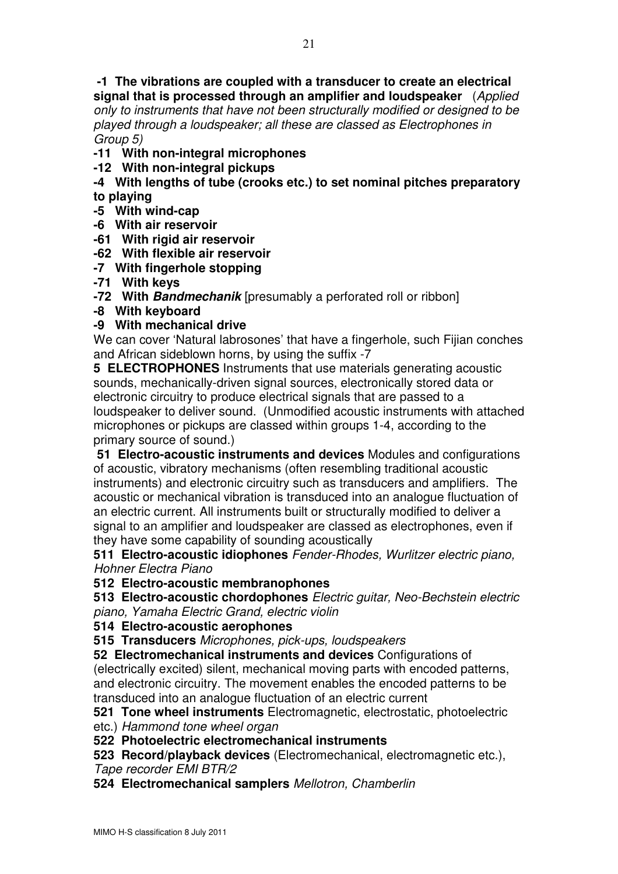-1 The vibrations are coupled with a transducer to create an electrical signal that is processed through an amplifier and loudspeaker (Applied only to instruments that have not been structurally modified or designed to be played through a loudspeaker; all these are classed as Electrophones in Group 5)

- -11 With non-integral microphones
- -12 With non-integral pickups
- -4 With lengths of tube (crooks etc.) to set nominal pitches preparatory to playing
- -5 With wind-cap
- -6 With air reservoir
- -61 With rigid air reservoir
- -62 With flexible air reservoir
- -7 With fingerhole stopping
- -71 With keys
- -72 With Bandmechanik [presumably a perforated roll or ribbon]
- -8 With keyboard
- -9 With mechanical drive

We can cover 'Natural labrosones' that have a fingerhole, such Fijian conches and African sideblown horns, by using the suffix -7

5 ELECTROPHONES Instruments that use materials generating acoustic sounds, mechanically-driven signal sources, electronically stored data or electronic circuitry to produce electrical signals that are passed to a loudspeaker to deliver sound. (Unmodified acoustic instruments with attached microphones or pickups are classed within groups 1-4, according to the primary source of sound.)

51 Electro-acoustic instruments and devices Modules and configurations of acoustic, vibratory mechanisms (often resembling traditional acoustic instruments) and electronic circuitry such as transducers and amplifiers. The acoustic or mechanical vibration is transduced into an analogue fluctuation of an electric current. All instruments built or structurally modified to deliver a signal to an amplifier and loudspeaker are classed as electrophones, even if they have some capability of sounding acoustically

511 Electro-acoustic idiophones Fender-Rhodes, Wurlitzer electric piano, Hohner Electra Piano

512 Electro-acoustic membranophones

513 Electro-acoustic chordophones Electric guitar, Neo-Bechstein electric piano, Yamaha Electric Grand, electric violin

#### 514 Electro-acoustic aerophones

515 Transducers Microphones, pick-ups, loudspeakers

52 Electromechanical instruments and devices Configurations of

(electrically excited) silent, mechanical moving parts with encoded patterns, and electronic circuitry. The movement enables the encoded patterns to be transduced into an analogue fluctuation of an electric current

521 Tone wheel instruments Electromagnetic, electrostatic, photoelectric etc.) Hammond tone wheel organ

522 Photoelectric electromechanical instruments

523 Record/playback devices (Electromechanical, electromagnetic etc.), Tape recorder EMI BTR/2

524 Electromechanical samplers Mellotron, Chamberlin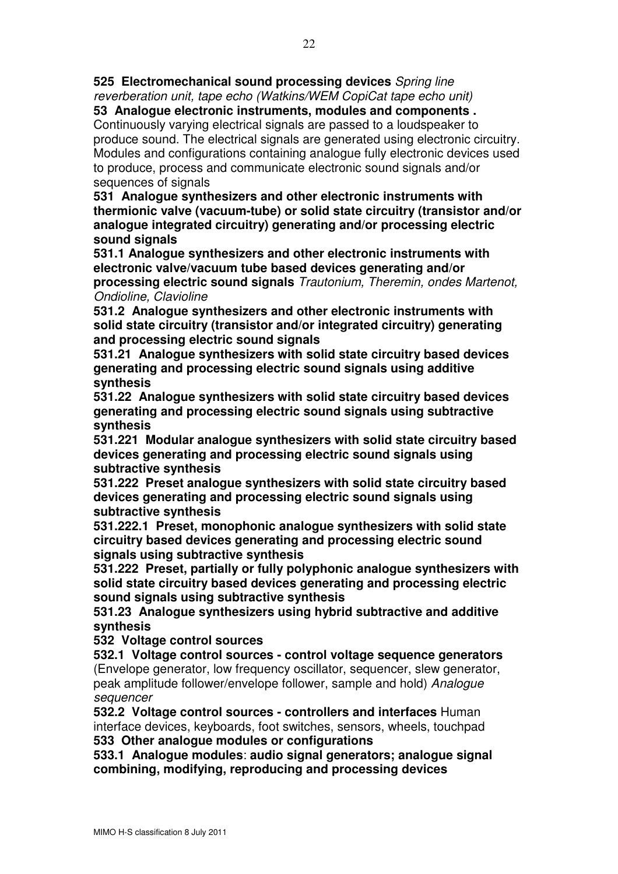525 Electromechanical sound processing devices Spring line reverberation unit, tape echo (Watkins/WEM CopiCat tape echo unit)

53 Analogue electronic instruments, modules and components . Continuously varying electrical signals are passed to a loudspeaker to produce sound. The electrical signals are generated using electronic circuitry. Modules and configurations containing analogue fully electronic devices used to produce, process and communicate electronic sound signals and/or sequences of signals

531 Analogue synthesizers and other electronic instruments with thermionic valve (vacuum-tube) or solid state circuitry (transistor and/or analogue integrated circuitry) generating and/or processing electric sound signals

531.1 Analogue synthesizers and other electronic instruments with electronic valve/vacuum tube based devices generating and/or processing electric sound signals Trautonium, Theremin, ondes Martenot, Ondioline, Clavioline

531.2 Analogue synthesizers and other electronic instruments with solid state circuitry (transistor and/or integrated circuitry) generating and processing electric sound signals

531.21 Analogue synthesizers with solid state circuitry based devices generating and processing electric sound signals using additive synthesis

531.22 Analogue synthesizers with solid state circuitry based devices generating and processing electric sound signals using subtractive synthesis

531.221 Modular analogue synthesizers with solid state circuitry based devices generating and processing electric sound signals using subtractive synthesis

531.222 Preset analogue synthesizers with solid state circuitry based devices generating and processing electric sound signals using subtractive synthesis

531.222.1 Preset, monophonic analogue synthesizers with solid state circuitry based devices generating and processing electric sound signals using subtractive synthesis

531.222 Preset, partially or fully polyphonic analogue synthesizers with solid state circuitry based devices generating and processing electric sound signals using subtractive synthesis

531.23 Analogue synthesizers using hybrid subtractive and additive synthesis

532 Voltage control sources

532.1 Voltage control sources - control voltage sequence generators (Envelope generator, low frequency oscillator, sequencer, slew generator, peak amplitude follower/envelope follower, sample and hold) Analogue sequencer

532.2 Voltage control sources - controllers and interfaces Human interface devices, keyboards, foot switches, sensors, wheels, touchpad 533 Other analogue modules or configurations

533.1 Analogue modules: audio signal generators; analogue signal combining, modifying, reproducing and processing devices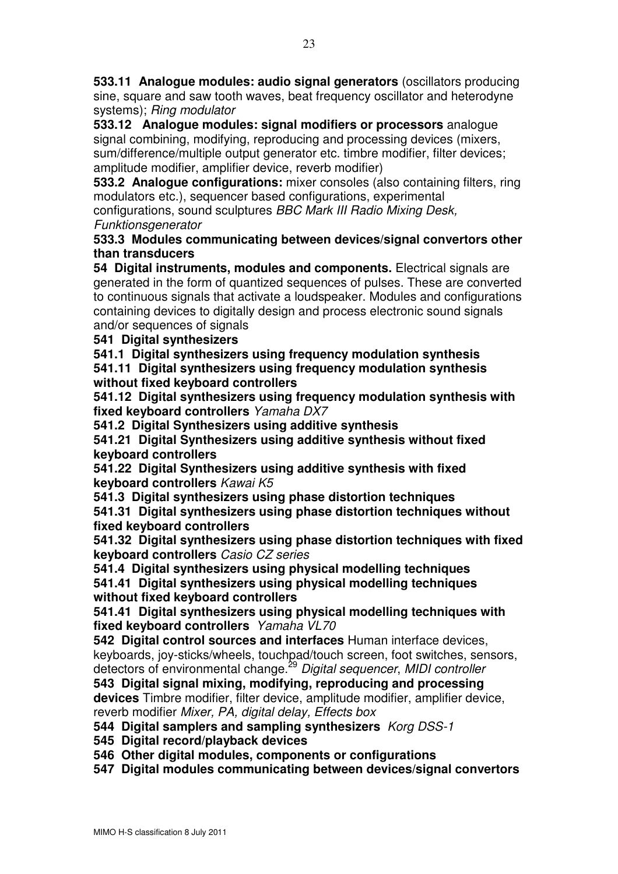533.11 Analogue modules: audio signal generators (oscillators producing sine, square and saw tooth waves, beat frequency oscillator and heterodyne systems); Ring modulator

533.12 Analogue modules: signal modifiers or processors analogue signal combining, modifying, reproducing and processing devices (mixers, sum/difference/multiple output generator etc. timbre modifier, filter devices; amplitude modifier, amplifier device, reverb modifier)

533.2 Analogue configurations: mixer consoles (also containing filters, ring modulators etc.), sequencer based configurations, experimental

configurations, sound sculptures BBC Mark III Radio Mixing Desk, **Funktionsgenerator** 

533.3 Modules communicating between devices/signal convertors other than transducers

54 Digital instruments, modules and components. Electrical signals are generated in the form of quantized sequences of pulses. These are converted to continuous signals that activate a loudspeaker. Modules and configurations containing devices to digitally design and process electronic sound signals and/or sequences of signals

541 Digital synthesizers

541.1 Digital synthesizers using frequency modulation synthesis 541.11 Digital synthesizers using frequency modulation synthesis without fixed keyboard controllers

541.12 Digital synthesizers using frequency modulation synthesis with fixed keyboard controllers Yamaha DX7

541.2 Digital Synthesizers using additive synthesis

541.21 Digital Synthesizers using additive synthesis without fixed keyboard controllers

541.22 Digital Synthesizers using additive synthesis with fixed keyboard controllers Kawai K5

541.3 Digital synthesizers using phase distortion techniques 541.31 Digital synthesizers using phase distortion techniques without fixed keyboard controllers

541.32 Digital synthesizers using phase distortion techniques with fixed keyboard controllers Casio CZ series

541.4 Digital synthesizers using physical modelling techniques 541.41 Digital synthesizers using physical modelling techniques without fixed keyboard controllers

541.41 Digital synthesizers using physical modelling techniques with fixed keyboard controllers Yamaha VL70

542 Digital control sources and interfaces Human interface devices, keyboards, joy-sticks/wheels, touchpad/touch screen, foot switches, sensors, detectors of environmental change.<sup>29</sup> Digital sequencer, MIDI controller

543 Digital signal mixing, modifying, reproducing and processing devices Timbre modifier, filter device, amplitude modifier, amplifier device, reverb modifier Mixer, PA, digital delay, Effects box

544 Digital samplers and sampling synthesizers Korg DSS-1

545 Digital record/playback devices

546 Other digital modules, components or configurations

547 Digital modules communicating between devices/signal convertors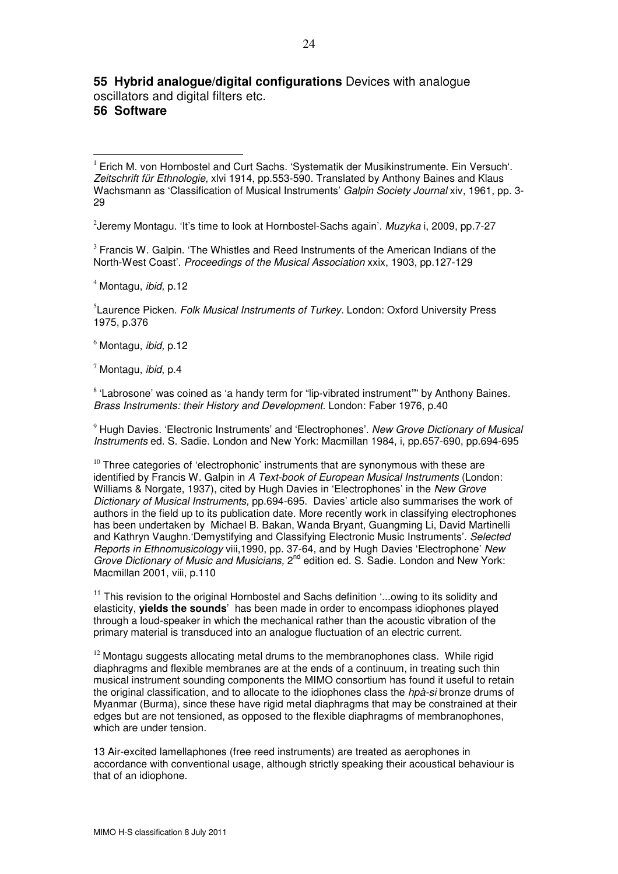## 55 Hybrid analogue/digital configurations Devices with analogue oscillators and digital filters etc.

### 56 Software

l.

<sup>1</sup> Erich M. von Hornbostel and Curt Sachs. 'Systematik der Musikinstrumente. Ein Versuch'. Zeitschrift für Ethnologie, xlvi 1914, pp.553-590. Translated by Anthony Baines and Klaus Wachsmann as 'Classification of Musical Instruments' Galpin Society Journal xiv, 1961, pp. 3-29

 $^{2}$ Jeremy Montagu. 'It's time to look at Hornbostel-Sachs again'. Muzyka i, 2009, pp.7-27

<sup>3</sup> Francis W. Galpin. 'The Whistles and Reed Instruments of the American Indians of the North-West Coast'. Proceedings of the Musical Association xxix, 1903, pp.127-129

<sup>4</sup> Montagu, ibid, p.12

<sup>5</sup> Laurence Picken. Folk Musical Instruments of Turkey. London: Oxford University Press 1975, p.376

 $<sup>6</sup>$  Montagu, *ibid*, p.12</sup>

 $<sup>7</sup>$  Montagu, *ibid*, p.4</sup>

<sup>8</sup> 'Labrosone' was coined as 'a handy term for "lip-vibrated instrument"' by Anthony Baines. Brass Instruments: their History and Development. London: Faber 1976, p.40

<sup>9</sup> Hugh Davies. 'Electronic Instruments' and 'Electrophones'. New Grove Dictionary of Musical Instruments ed. S. Sadie. London and New York: Macmillan 1984, i, pp.657-690, pp.694-695

 $10$  Three categories of 'electrophonic' instruments that are synonymous with these are identified by Francis W. Galpin in A Text-book of European Musical Instruments (London: Williams & Norgate, 1937), cited by Hugh Davies in 'Electrophones' in the New Grove Dictionary of Musical Instruments, pp.694-695. Davies' article also summarises the work of authors in the field up to its publication date. More recently work in classifying electrophones has been undertaken by Michael B. Bakan, Wanda Bryant, Guangming Li, David Martinelli and Kathryn Vaughn.'Demystifying and Classifying Electronic Music Instruments'. Selected Reports in Ethnomusicology viii,1990, pp. 37-64, and by Hugh Davies 'Electrophone' New Grove Dictionary of Music and Musicians, 2<sup>nd</sup> edition ed. S. Sadie. London and New York: Macmillan 2001, viii, p.110

 $11$  This revision to the original Hornbostel and Sachs definition '...owing to its solidity and elasticity, yields the sounds' has been made in order to encompass idiophones played through a loud-speaker in which the mechanical rather than the acoustic vibration of the primary material is transduced into an analogue fluctuation of an electric current.

 $12$  Montagu suggests allocating metal drums to the membranophones class. While rigid diaphragms and flexible membranes are at the ends of a continuum, in treating such thin musical instrument sounding components the MIMO consortium has found it useful to retain the original classification, and to allocate to the idiophones class the *hpà-si* bronze drums of Myanmar (Burma), since these have rigid metal diaphragms that may be constrained at their edges but are not tensioned, as opposed to the flexible diaphragms of membranophones, which are under tension.

13 Air-excited lamellaphones (free reed instruments) are treated as aerophones in accordance with conventional usage, although strictly speaking their acoustical behaviour is that of an idiophone.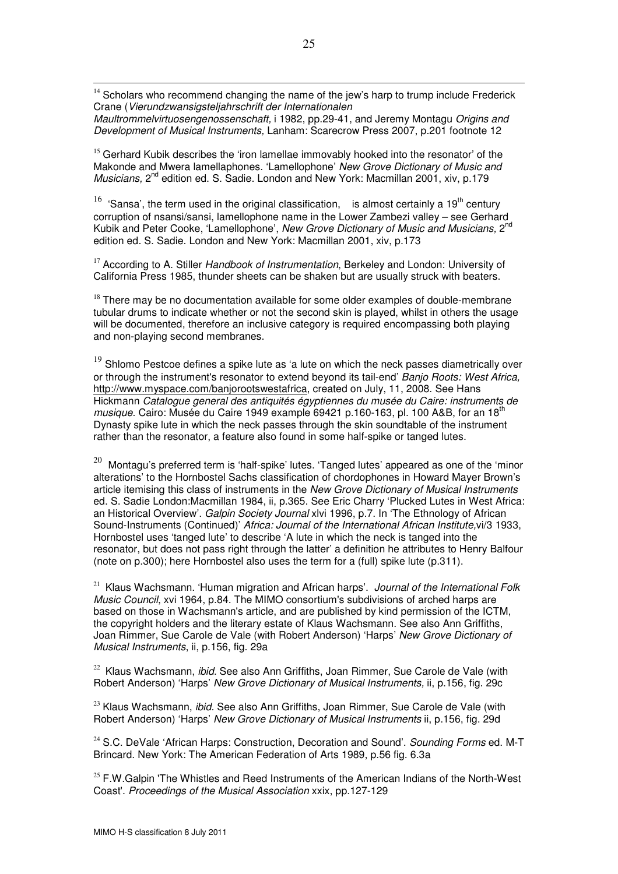$14$  Scholars who recommend changing the name of the jew's harp to trump include Frederick Crane (Vierundzwansigsteljahrschrift der Internationalen

l.

Maultrommelvirtuosengenossenschaft, i 1982, pp.29-41, and Jeremy Montagu Origins and Development of Musical Instruments, Lanham: Scarecrow Press 2007, p.201 footnote 12

<sup>15</sup> Gerhard Kubik describes the 'iron lamellae immovably hooked into the resonator' of the Makonde and Mwera lamellaphones. 'Lamellophone' New Grove Dictionary of Music and Musicians, 2<sup>nd</sup> edition ed. S. Sadie. London and New York: Macmillan 2001, xiv, p.179

<sup>16</sup> 'Sansa', the term used in the original classification, is almost certainly a 19<sup>th</sup> century corruption of nsansi/sansi, lamellophone name in the Lower Zambezi valley – see Gerhard Kubik and Peter Cooke, 'Lamellophone', New Grove Dictionary of Music and Musicians, 2<sup>nd</sup> edition ed. S. Sadie. London and New York: Macmillan 2001, xiv, p.173

 $17$  According to A. Stiller Handbook of Instrumentation, Berkeley and London: University of California Press 1985, thunder sheets can be shaken but are usually struck with beaters.

 $18$  There may be no documentation available for some older examples of double-membrane tubular drums to indicate whether or not the second skin is played, whilst in others the usage will be documented, therefore an inclusive category is required encompassing both playing and non-playing second membranes.

 $19$  Shlomo Pestcoe defines a spike lute as 'a lute on which the neck passes diametrically over or through the instrument's resonator to extend beyond its tail-end' Banjo Roots: West Africa, http://www.myspace.com/banjorootswestafrica, created on July, 11, 2008. See Hans Hickmann Catalogue general des antiquités égyptiennes du musée du Caire: instruments de musique. Cairo: Musée du Caire 1949 example 69421 p.160-163, pl. 100 A&B, for an 18<sup>th</sup> Dynasty spike lute in which the neck passes through the skin soundtable of the instrument rather than the resonator, a feature also found in some half-spike or tanged lutes.

 $^{20}$  Montagu's preferred term is 'half-spike' lutes. 'Tanged lutes' appeared as one of the 'minor alterations' to the Hornbostel Sachs classification of chordophones in Howard Mayer Brown's article itemising this class of instruments in the New Grove Dictionary of Musical Instruments ed. S. Sadie London:Macmillan 1984, ii, p.365. See Eric Charry 'Plucked Lutes in West Africa: an Historical Overview'. Galpin Society Journal xlvi 1996, p.7. In 'The Ethnology of African Sound-Instruments (Continued)' Africa: Journal of the International African Institute,vi/3 1933, Hornbostel uses 'tanged lute' to describe 'A lute in which the neck is tanged into the resonator, but does not pass right through the latter' a definition he attributes to Henry Balfour (note on p.300); here Hornbostel also uses the term for a (full) spike lute (p.311).

<sup>21</sup> Klaus Wachsmann. 'Human migration and African harps'. Journal of the International Folk Music Council, xvi 1964, p.84. The MIMO consortium's subdivisions of arched harps are based on those in Wachsmann's article, and are published by kind permission of the ICTM, the copyright holders and the literary estate of Klaus Wachsmann. See also Ann Griffiths, Joan Rimmer, Sue Carole de Vale (with Robert Anderson) 'Harps' New Grove Dictionary of Musical Instruments, ii, p.156, fig. 29a

<sup>22</sup> Klaus Wachsmann, *ibid.* See also Ann Griffiths, Joan Rimmer, Sue Carole de Vale (with Robert Anderson) 'Harps' New Grove Dictionary of Musical Instruments, ii, p.156, fig. 29c

 $23$  Klaus Wachsmann, *ibid.* See also Ann Griffiths, Joan Rimmer, Sue Carole de Vale (with Robert Anderson) 'Harps' New Grove Dictionary of Musical Instruments ii, p.156, fig. 29d

 $24$  S.C. DeVale 'African Harps: Construction, Decoration and Sound'. Sounding Forms ed. M-T Brincard. New York: The American Federation of Arts 1989, p.56 fig. 6.3a

 $25$  F.W.Galpin 'The Whistles and Reed Instruments of the American Indians of the North-West Coast'. Proceedings of the Musical Association xxix, pp.127-129